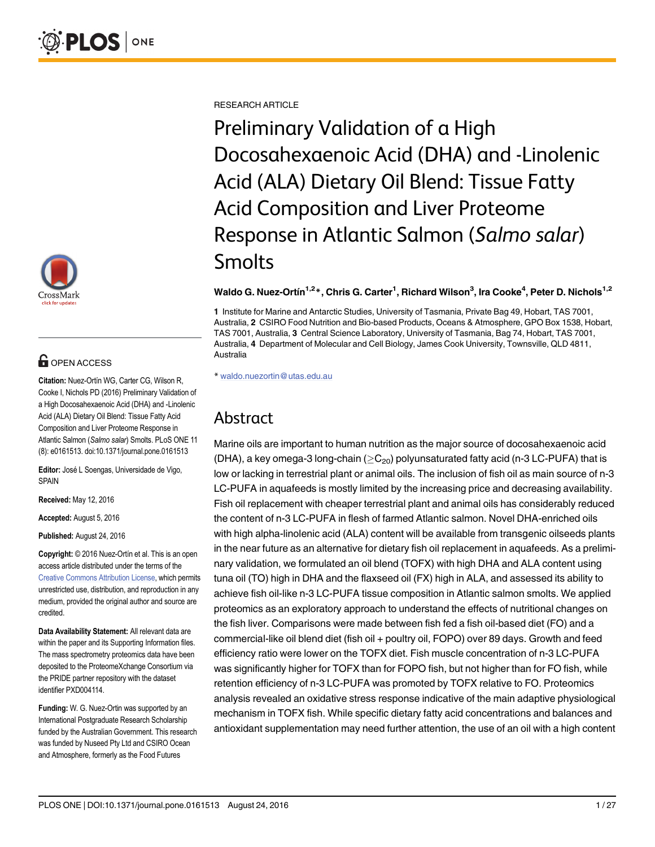

## **G** OPEN ACCESS

Citation: Nuez-Ortín WG, Carter CG, Wilson R, Cooke I, Nichols PD (2016) Preliminary Validation of a High Docosahexaenoic Acid (DHA) and -Linolenic Acid (ALA) Dietary Oil Blend: Tissue Fatty Acid Composition and Liver Proteome Response in Atlantic Salmon (Salmo salar) Smolts. PLoS ONE 11 (8): e0161513. doi:10.1371/journal.pone.0161513

Editor: José L Soengas, Universidade de Vigo, SPAIN

Received: May 12, 2016

Accepted: August 5, 2016

Published: August 24, 2016

Copyright: © 2016 Nuez-Ortín et al. This is an open access article distributed under the terms of the [Creative Commons Attribution License,](http://creativecommons.org/licenses/by/4.0/) which permits unrestricted use, distribution, and reproduction in any medium, provided the original author and source are credited.

Data Availability Statement: All relevant data are within the paper and its Supporting Information files. The mass spectrometry proteomics data have been deposited to the ProteomeXchange Consortium via the PRIDE partner repository with the dataset identifier PXD004114.

Funding: W. G. Nuez-Ortin was supported by an International Postgraduate Research Scholarship funded by the Australian Government. This research was funded by Nuseed Pty Ltd and CSIRO Ocean and Atmosphere, formerly as the Food Futures

RESEARCH ARTICLE

Preliminary Validation of a High Docosahexaenoic Acid (DHA) and -Linolenic Acid (ALA) Dietary Oil Blend: Tissue Fatty Acid Composition and Liver Proteome Response in Atlantic Salmon (Salmo salar) **Smolts** 

#### Waldo G. Nuez-Ortín $^{1,2\ast},$  Chris G. Carter $^1$ , Richard Wilson $^3$ , Ira Cooke $^4$ , Peter D. Nichols $^{1,2}$

1 Institute for Marine and Antarctic Studies, University of Tasmania, Private Bag 49, Hobart, TAS 7001, Australia, 2 CSIRO Food Nutrition and Bio-based Products, Oceans & Atmosphere, GPO Box 1538, Hobart, TAS 7001, Australia, 3 Central Science Laboratory, University of Tasmania, Bag 74, Hobart, TAS 7001, Australia, 4 Department of Molecular and Cell Biology, James Cook University, Townsville, QLD 4811, Australia

\* waldo.nuezortin@utas.edu.au

## Abstract

Marine oils are important to human nutrition as the major source of docosahexaenoic acid (DHA), a key omega-3 long-chain ( $\geq$ C<sub>20</sub>) polyunsaturated fatty acid (n-3 LC-PUFA) that is low or lacking in terrestrial plant or animal oils. The inclusion of fish oil as main source of n-3 LC-PUFA in aquafeeds is mostly limited by the increasing price and decreasing availability. Fish oil replacement with cheaper terrestrial plant and animal oils has considerably reduced the content of n-3 LC-PUFA in flesh of farmed Atlantic salmon. Novel DHA-enriched oils with high alpha-linolenic acid (ALA) content will be available from transgenic oilseeds plants in the near future as an alternative for dietary fish oil replacement in aquafeeds. As a preliminary validation, we formulated an oil blend (TOFX) with high DHA and ALA content using tuna oil (TO) high in DHA and the flaxseed oil (FX) high in ALA, and assessed its ability to achieve fish oil-like n-3 LC-PUFA tissue composition in Atlantic salmon smolts. We applied proteomics as an exploratory approach to understand the effects of nutritional changes on the fish liver. Comparisons were made between fish fed a fish oil-based diet (FO) and a commercial-like oil blend diet (fish oil + poultry oil, FOPO) over 89 days. Growth and feed efficiency ratio were lower on the TOFX diet. Fish muscle concentration of n-3 LC-PUFA was significantly higher for TOFX than for FOPO fish, but not higher than for FO fish, while retention efficiency of n-3 LC-PUFA was promoted by TOFX relative to FO. Proteomics analysis revealed an oxidative stress response indicative of the main adaptive physiological mechanism in TOFX fish. While specific dietary fatty acid concentrations and balances and antioxidant supplementation may need further attention, the use of an oil with a high content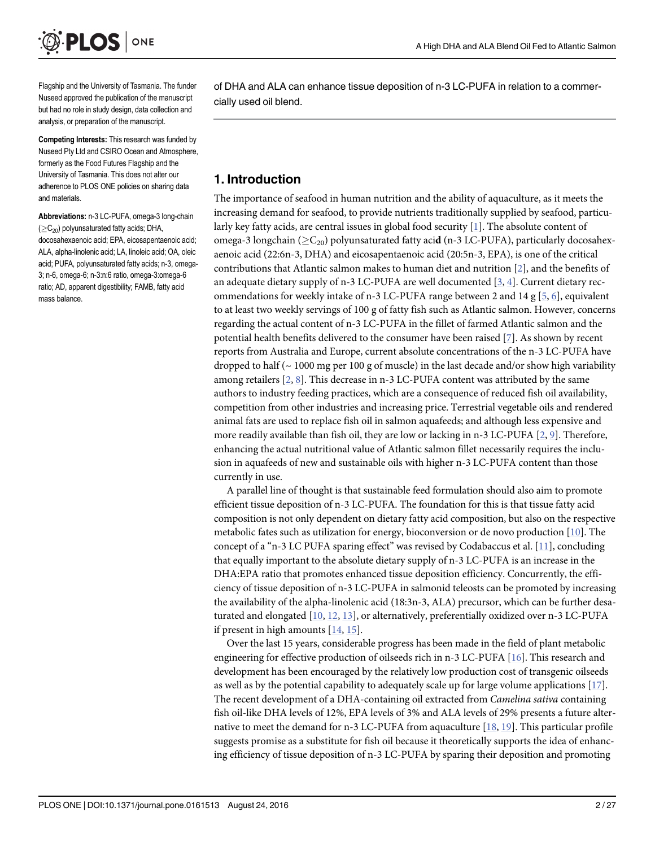<span id="page-1-0"></span>

Flagship and the University of Tasmania. The funder Nuseed approved the publication of the manuscript but had no role in study design, data collection and analysis, or preparation of the manuscript.

Competing Interests: This research was funded by Nuseed Pty Ltd and CSIRO Ocean and Atmosphere, formerly as the Food Futures Flagship and the University of Tasmania. This does not alter our adherence to PLOS ONE policies on sharing data and materials.

Abbreviations: n-3 LC-PUFA, omega-3 long-chain  $(>C_{20})$  polyunsaturated fatty acids; DHA, docosahexaenoic acid; EPA, eicosapentaenoic acid; ALA, alpha-linolenic acid; LA, linoleic acid; OA, oleic acid; PUFA, polyunsaturated fatty acids; n-3, omega-3; n-6, omega-6; n-3:n:6 ratio, omega-3:omega-6 ratio; AD, apparent digestibility; FAMB, fatty acid mass balance.

of DHA and ALA can enhance tissue deposition of n-3 LC-PUFA in relation to a commercially used oil blend.

#### 1. Introduction

The importance of seafood in human nutrition and the ability of aquaculture, as it meets the increasing demand for seafood, to provide nutrients traditionally supplied by seafood, particularly key fatty acids, are central issues in global food security  $[1]$  $[1]$ . The absolute content of omega-3 longchain ( $\geq C_{20}$ ) polyunsaturated fatty acid (n-3 LC-PUFA), particularly docosahexaenoic acid (22:6n-3, DHA) and eicosapentaenoic acid (20:5n-3, EPA), is one of the critical contributions that Atlantic salmon makes to human diet and nutrition [[2\]](#page-21-0), and the benefits of an adequate dietary supply of n-3 LC-PUFA are well documented [[3,](#page-21-0) [4\]](#page-21-0). Current dietary rec-ommendations for weekly intake of n-3 LC-PUFA range between 2 and 14 g [\[5](#page-21-0), [6](#page-21-0)], equivalent to at least two weekly servings of 100 g of fatty fish such as Atlantic salmon. However, concerns regarding the actual content of n-3 LC-PUFA in the fillet of farmed Atlantic salmon and the potential health benefits delivered to the consumer have been raised [[7](#page-21-0)]. As shown by recent reports from Australia and Europe, current absolute concentrations of the n-3 LC-PUFA have dropped to half ( $\sim$  1000 mg per 100 g of muscle) in the last decade and/or show high variability among retailers  $[2, 8]$  $[2, 8]$  $[2, 8]$  $[2, 8]$ . This decrease in n-3 LC-PUFA content was attributed by the same authors to industry feeding practices, which are a consequence of reduced fish oil availability, competition from other industries and increasing price. Terrestrial vegetable oils and rendered animal fats are used to replace fish oil in salmon aquafeeds; and although less expensive and more readily available than fish oil, they are low or lacking in n-3 LC-PUFA [[2,](#page-21-0) [9\]](#page-21-0). Therefore, enhancing the actual nutritional value of Atlantic salmon fillet necessarily requires the inclusion in aquafeeds of new and sustainable oils with higher n-3 LC-PUFA content than those currently in use.

A parallel line of thought is that sustainable feed formulation should also aim to promote efficient tissue deposition of n-3 LC-PUFA. The foundation for this is that tissue fatty acid composition is not only dependent on dietary fatty acid composition, but also on the respective metabolic fates such as utilization for energy, bioconversion or de novo production [\[10\]](#page-21-0). The concept of a "n-3 LC PUFA sparing effect" was revised by Codabaccus et al. [[11](#page-21-0)], concluding that equally important to the absolute dietary supply of n-3 LC-PUFA is an increase in the DHA:EPA ratio that promotes enhanced tissue deposition efficiency. Concurrently, the efficiency of tissue deposition of n-3 LC-PUFA in salmonid teleosts can be promoted by increasing the availability of the alpha-linolenic acid (18:3n-3, ALA) precursor, which can be further desaturated and elongated  $[10, 12, 13]$  $[10, 12, 13]$  $[10, 12, 13]$  $[10, 12, 13]$  $[10, 12, 13]$ , or alternatively, preferentially oxidized over n-3 LC-PUFA if present in high amounts  $[14, 15]$  $[14, 15]$  $[14, 15]$  $[14, 15]$ .

Over the last 15 years, considerable progress has been made in the field of plant metabolic engineering for effective production of oilseeds rich in n-3 LC-PUFA [[16\]](#page-21-0). This research and development has been encouraged by the relatively low production cost of transgenic oilseeds as well as by the potential capability to adequately scale up for large volume applications  $[17]$ . The recent development of a DHA-containing oil extracted from Camelina sativa containing fish oil-like DHA levels of 12%, EPA levels of 3% and ALA levels of 29% presents a future alternative to meet the demand for n-3 LC-PUFA from aquaculture [[18](#page-21-0), [19](#page-22-0)]. This particular profile suggests promise as a substitute for fish oil because it theoretically supports the idea of enhancing efficiency of tissue deposition of n-3 LC-PUFA by sparing their deposition and promoting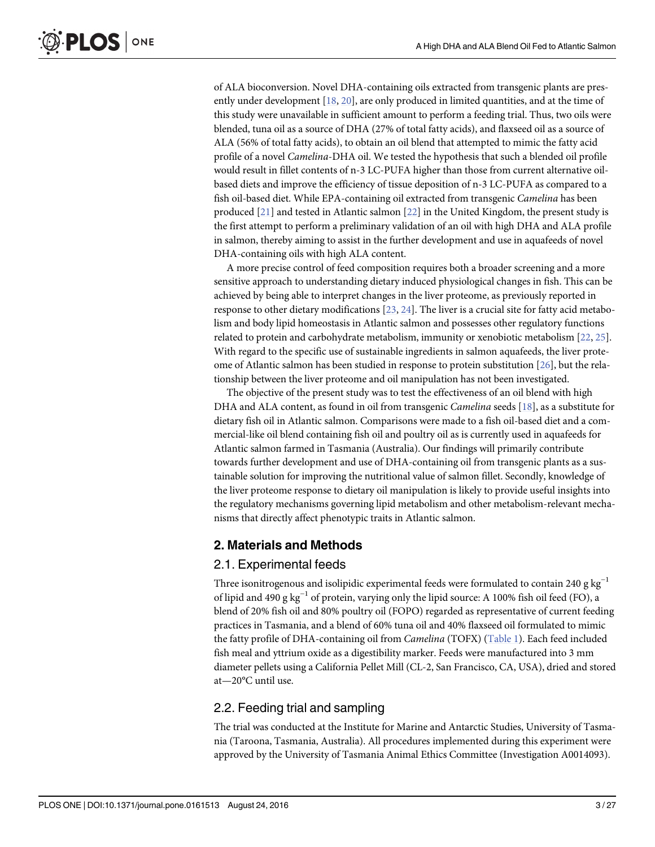<span id="page-2-0"></span>of ALA bioconversion. Novel DHA-containing oils extracted from transgenic plants are presently under development [\[18,](#page-21-0) [20\]](#page-22-0), are only produced in limited quantities, and at the time of this study were unavailable in sufficient amount to perform a feeding trial. Thus, two oils were blended, tuna oil as a source of DHA (27% of total fatty acids), and flaxseed oil as a source of ALA (56% of total fatty acids), to obtain an oil blend that attempted to mimic the fatty acid profile of a novel Camelina-DHA oil. We tested the hypothesis that such a blended oil profile would result in fillet contents of n-3 LC-PUFA higher than those from current alternative oilbased diets and improve the efficiency of tissue deposition of n-3 LC-PUFA as compared to a fish oil-based diet. While EPA-containing oil extracted from transgenic Camelina has been produced [\[21](#page-22-0)] and tested in Atlantic salmon [[22](#page-22-0)] in the United Kingdom, the present study is the first attempt to perform a preliminary validation of an oil with high DHA and ALA profile in salmon, thereby aiming to assist in the further development and use in aquafeeds of novel DHA-containing oils with high ALA content.

A more precise control of feed composition requires both a broader screening and a more sensitive approach to understanding dietary induced physiological changes in fish. This can be achieved by being able to interpret changes in the liver proteome, as previously reported in response to other dietary modifications [[23,](#page-22-0) [24](#page-22-0)]. The liver is a crucial site for fatty acid metabolism and body lipid homeostasis in Atlantic salmon and possesses other regulatory functions related to protein and carbohydrate metabolism, immunity or xenobiotic metabolism [[22](#page-22-0), [25](#page-22-0)]. With regard to the specific use of sustainable ingredients in salmon aquafeeds, the liver proteome of Atlantic salmon has been studied in response to protein substitution  $[26]$  $[26]$  $[26]$ , but the relationship between the liver proteome and oil manipulation has not been investigated.

The objective of the present study was to test the effectiveness of an oil blend with high DHA and ALA content, as found in oil from transgenic *Camelina* seeds [[18\]](#page-21-0), as a substitute for dietary fish oil in Atlantic salmon. Comparisons were made to a fish oil-based diet and a commercial-like oil blend containing fish oil and poultry oil as is currently used in aquafeeds for Atlantic salmon farmed in Tasmania (Australia). Our findings will primarily contribute towards further development and use of DHA-containing oil from transgenic plants as a sustainable solution for improving the nutritional value of salmon fillet. Secondly, knowledge of the liver proteome response to dietary oil manipulation is likely to provide useful insights into the regulatory mechanisms governing lipid metabolism and other metabolism-relevant mechanisms that directly affect phenotypic traits in Atlantic salmon.

## 2. Materials and Methods

## 2.1. Experimental feeds

Three isonitrogenous and isolipidic experimental feeds were formulated to contain 240 g kg<sup>-1</sup> of lipid and 490 g kg−<sup>1</sup> of protein, varying only the lipid source: A 100% fish oil feed (FO), a blend of 20% fish oil and 80% poultry oil (FOPO) regarded as representative of current feeding practices in Tasmania, and a blend of 60% tuna oil and 40% flaxseed oil formulated to mimic the fatty profile of DHA-containing oil from Camelina (TOFX) ([Table 1](#page-3-0)). Each feed included fish meal and yttrium oxide as a digestibility marker. Feeds were manufactured into 3 mm diameter pellets using a California Pellet Mill (CL-2, San Francisco, CA, USA), dried and stored at—20°C until use.

## 2.2. Feeding trial and sampling

The trial was conducted at the Institute for Marine and Antarctic Studies, University of Tasmania (Taroona, Tasmania, Australia). All procedures implemented during this experiment were approved by the University of Tasmania Animal Ethics Committee (Investigation A0014093).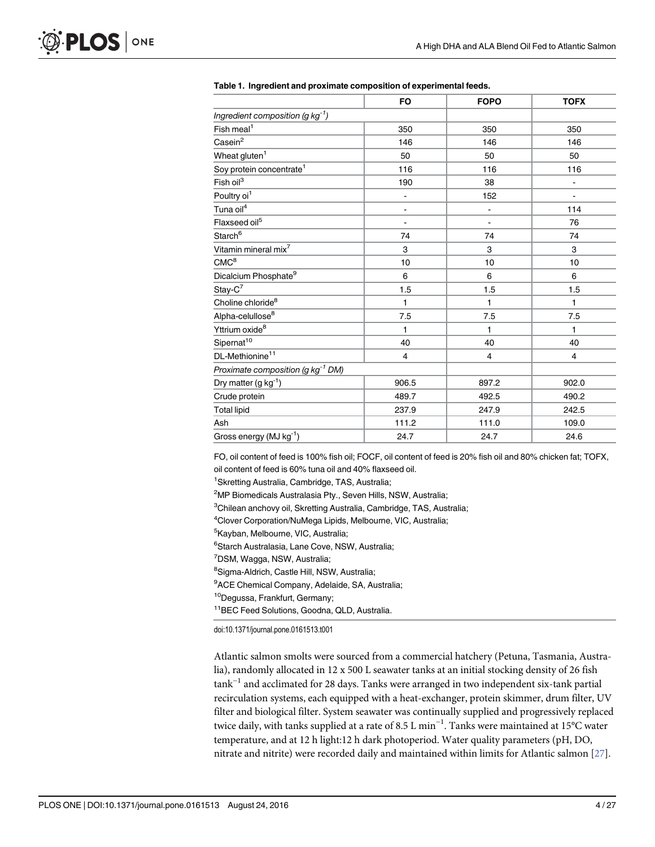|                                               | <b>FO</b>     | <b>FOPO</b>    | <b>TOFX</b>              |  |
|-----------------------------------------------|---------------|----------------|--------------------------|--|
| Ingredient composition (g $kg^{-1}$ )         |               |                |                          |  |
| Fish meal <sup>1</sup>                        | 350           | 350            | 350                      |  |
| $\text{Casein}^2$                             | 146           | 146            | 146                      |  |
| Wheat gluten <sup>1</sup>                     | 50            | 50             | 50                       |  |
| Soy protein concentrate <sup>1</sup>          | 116           | 116            | 116                      |  |
| Fish oil <sup>3</sup>                         | 190           | 38             | $\overline{\phantom{a}}$ |  |
| Poultry oi <sup>1</sup>                       | $\frac{1}{2}$ | 152            |                          |  |
| Tuna oil <sup>4</sup>                         |               | -              | 114                      |  |
| Flaxseed oil <sup>5</sup>                     |               | $\blacksquare$ | 76                       |  |
| Starch <sup>6</sup>                           | 74            | 74             | 74                       |  |
| Vitamin mineral mix <sup>7</sup>              | 3             | 3              | 3<br>10                  |  |
| CMC <sup>8</sup>                              | 10            | 10             |                          |  |
| Dicalcium Phosphate <sup>9</sup>              | 6             | 6              | 6                        |  |
| $Stay-C^7$                                    | 1.5           | 1.5            | 1.5                      |  |
| Choline chloride <sup>8</sup>                 | 1             | 1              | 1                        |  |
| Alpha-celullose <sup>8</sup>                  | 7.5           | 7.5            | 7.5                      |  |
| Yttrium oxide <sup>8</sup>                    | 1             | 1              | 1                        |  |
| Sipernat <sup>10</sup>                        | 40            | 40             | 40                       |  |
| DL-Methionine <sup>11</sup>                   | 4             | 4              | $\overline{4}$           |  |
| Proximate composition (g kg <sup>-1</sup> DM) |               |                |                          |  |
| Dry matter $(g kg^{-1})$                      | 906.5         | 897.2          | 902.0                    |  |
| Crude protein                                 | 489.7         | 492.5          | 490.2                    |  |
| <b>Total lipid</b>                            | 237.9         | 247.9          | 242.5                    |  |
| Ash                                           | 111.2         | 111.0          | 109.0                    |  |
| Gross energy (MJ kg-1)                        | 24.7          | 24.7           | 24.6                     |  |

#### <span id="page-3-0"></span>[Table 1.](#page-2-0) Ingredient and proximate composition of experimental feeds.

FO, oil content of feed is 100% fish oil; FOCF, oil content of feed is 20% fish oil and 80% chicken fat; TOFX, oil content of feed is 60% tuna oil and 40% flaxseed oil.

<sup>1</sup> Skretting Australia, Cambridge, TAS, Australia;

4 Clover Corporation/NuMega Lipids, Melbourne, VIC, Australia;

<sup>5</sup>Kayban, Melbourne, VIC, Australia;

6 Starch Australasia, Lane Cove, NSW, Australia;

<sup>7</sup>DSM, Wagga, NSW, Australia;

<sup>8</sup>Sigma-Aldrich, Castle Hill, NSW, Australia;

<sup>9</sup>ACE Chemical Company, Adelaide, SA, Australia;

10Degussa, Frankfurt, Germany;

11BEC Feed Solutions, Goodna, QLD, Australia.

doi:10.1371/journal.pone.0161513.t001

Atlantic salmon smolts were sourced from a commercial hatchery (Petuna, Tasmania, Australia), randomly allocated in 12 x 500 L seawater tanks at an initial stocking density of 26 fish  $\text{rank}^{-1}$  and acclimated for 28 days. Tanks were arranged in two independent six-tank partial recirculation systems, each equipped with a heat-exchanger, protein skimmer, drum filter, UV filter and biological filter. System seawater was continually supplied and progressively replaced twice daily, with tanks supplied at a rate of 8.5 L min−<sup>1</sup> . Tanks were maintained at 15°C water temperature, and at 12 h light:12 h dark photoperiod. Water quality parameters (pH, DO, nitrate and nitrite) were recorded daily and maintained within limits for Atlantic salmon [[27](#page-22-0)].

<sup>&</sup>lt;sup>2</sup>MP Biomedicals Australasia Pty., Seven Hills, NSW, Australia;

<sup>&</sup>lt;sup>3</sup>Chilean anchovy oil, Skretting Australia, Cambridge, TAS, Australia;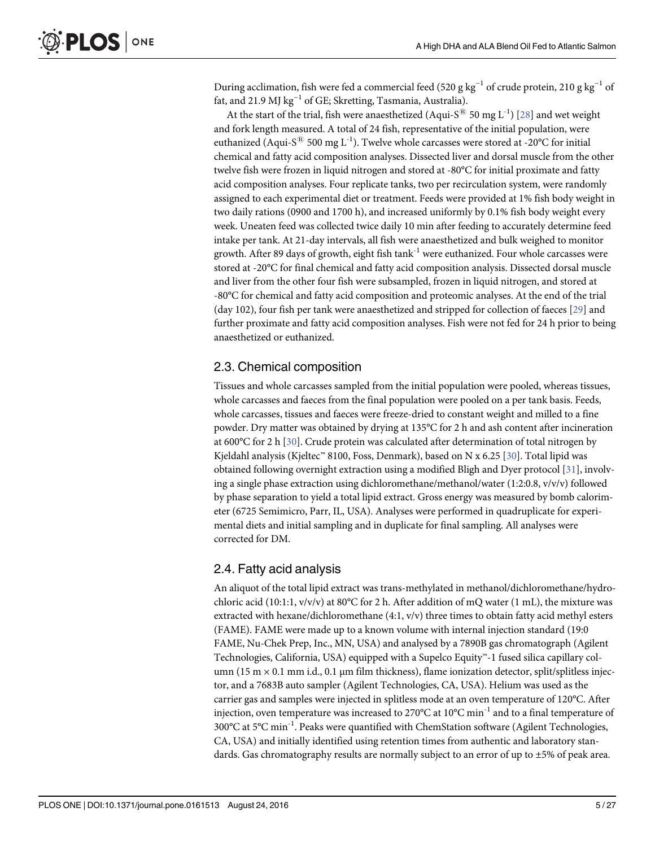<span id="page-4-0"></span>During acclimation, fish were fed a commercial feed (520 g kg<sup>-1</sup> of crude protein, 210 g kg<sup>-1</sup> of fat, and 21.9 MJ kg−<sup>1</sup> of GE; Skretting, Tasmania, Australia).

At the start of the trial, fish were anaesthetized (Aqui-S<sup>®</sup> 50 mg L<sup>-1</sup>) [\[28\]](#page-22-0) and wet weight and fork length measured. A total of 24 fish, representative of the initial population, were euthanized (Aqui-S<sup>®</sup> 500 mg L<sup>-1</sup>). Twelve whole carcasses were stored at -20°C for initial chemical and fatty acid composition analyses. Dissected liver and dorsal muscle from the other twelve fish were frozen in liquid nitrogen and stored at -80°C for initial proximate and fatty acid composition analyses. Four replicate tanks, two per recirculation system, were randomly assigned to each experimental diet or treatment. Feeds were provided at 1% fish body weight in two daily rations (0900 and 1700 h), and increased uniformly by 0.1% fish body weight every week. Uneaten feed was collected twice daily 10 min after feeding to accurately determine feed intake per tank. At 21-day intervals, all fish were anaesthetized and bulk weighed to monitor growth. After 89 days of growth, eight fish tank<sup>-1</sup> were euthanized. Four whole carcasses were stored at -20°C for final chemical and fatty acid composition analysis. Dissected dorsal muscle and liver from the other four fish were subsampled, frozen in liquid nitrogen, and stored at -80°C for chemical and fatty acid composition and proteomic analyses. At the end of the trial (day 102), four fish per tank were anaesthetized and stripped for collection of faeces [[29](#page-22-0)] and further proximate and fatty acid composition analyses. Fish were not fed for 24 h prior to being anaesthetized or euthanized.

#### 2.3. Chemical composition

Tissues and whole carcasses sampled from the initial population were pooled, whereas tissues, whole carcasses and faeces from the final population were pooled on a per tank basis. Feeds, whole carcasses, tissues and faeces were freeze-dried to constant weight and milled to a fine powder. Dry matter was obtained by drying at 135°C for 2 h and ash content after incineration at 600°C for 2 h [[30](#page-22-0)]. Crude protein was calculated after determination of total nitrogen by Kjeldahl analysis (Kjeltec™ 8100, Foss, Denmark), based on N x 6.25 [\[30](#page-22-0)]. Total lipid was obtained following overnight extraction using a modified Bligh and Dyer protocol [\[31\]](#page-22-0), involving a single phase extraction using dichloromethane/methanol/water (1:2:0.8, v/v/v) followed by phase separation to yield a total lipid extract. Gross energy was measured by bomb calorimeter (6725 Semimicro, Parr, IL, USA). Analyses were performed in quadruplicate for experimental diets and initial sampling and in duplicate for final sampling. All analyses were corrected for DM.

#### 2.4. Fatty acid analysis

An aliquot of the total lipid extract was trans-methylated in methanol/dichloromethane/hydrochloric acid (10:1:1,  $v/v/v$ ) at 80°C for 2 h. After addition of mQ water (1 mL), the mixture was extracted with hexane/dichloromethane (4:1, v/v) three times to obtain fatty acid methyl esters (FAME). FAME were made up to a known volume with internal injection standard (19:0 FAME, Nu-Chek Prep, Inc., MN, USA) and analysed by a 7890B gas chromatograph (Agilent Technologies, California, USA) equipped with a Supelco Equity™-1 fused silica capillary column (15 m  $\times$  0.1 mm i.d., 0.1 µm film thickness), flame ionization detector, split/splitless injector, and a 7683B auto sampler (Agilent Technologies, CA, USA). Helium was used as the carrier gas and samples were injected in splitless mode at an oven temperature of 120°C. After injection, oven temperature was increased to 270 $^{\circ}$ C at 10 $^{\circ}$ C min<sup>-1</sup> and to a final temperature of  $300^{\circ}$ C at  $5^{\circ}$ C min<sup>-1</sup>. Peaks were quantified with ChemStation software (Agilent Technologies, CA, USA) and initially identified using retention times from authentic and laboratory standards. Gas chromatography results are normally subject to an error of up to ±5% of peak area.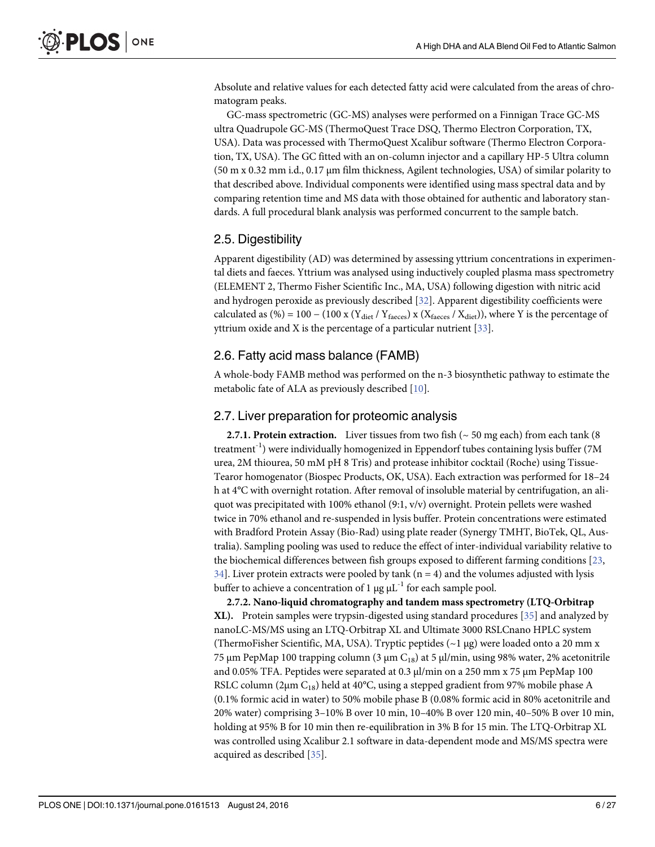<span id="page-5-0"></span>Absolute and relative values for each detected fatty acid were calculated from the areas of chromatogram peaks.

GC-mass spectrometric (GC-MS) analyses were performed on a Finnigan Trace GC-MS ultra Quadrupole GC-MS (ThermoQuest Trace DSQ, Thermo Electron Corporation, TX, USA). Data was processed with ThermoQuest Xcalibur software (Thermo Electron Corporation, TX, USA). The GC fitted with an on-column injector and a capillary HP-5 Ultra column (50 m x 0.32 mm i.d., 0.17 μm film thickness, Agilent technologies, USA) of similar polarity to that described above. Individual components were identified using mass spectral data and by comparing retention time and MS data with those obtained for authentic and laboratory standards. A full procedural blank analysis was performed concurrent to the sample batch.

#### 2.5. Digestibility

Apparent digestibility (AD) was determined by assessing yttrium concentrations in experimental diets and faeces. Yttrium was analysed using inductively coupled plasma mass spectrometry (ELEMENT 2, Thermo Fisher Scientific Inc., MA, USA) following digestion with nitric acid and hydrogen peroxide as previously described [\[32\]](#page-22-0). Apparent digestibility coefficients were calculated as (%) = 100 – (100 x ( $Y_{\text{diet}}/Y_{\text{faces}}$ ) x ( $X_{\text{faces}}/X_{\text{diet}}$ )), where Y is the percentage of yttrium oxide and X is the percentage of a particular nutrient  $[33]$ .

## 2.6. Fatty acid mass balance (FAMB)

A whole-body FAMB method was performed on the n-3 biosynthetic pathway to estimate the metabolic fate of ALA as previously described [\[10](#page-21-0)].

#### 2.7. Liver preparation for proteomic analysis

2.7.1. Protein extraction. Liver tissues from two fish ( $\sim$  50 mg each) from each tank (8 treatment<sup>-1</sup>) were individually homogenized in Eppendorf tubes containing lysis buffer (7M) urea, 2M thiourea, 50 mM pH 8 Tris) and protease inhibitor cocktail (Roche) using Tissue-Tearor homogenator (Biospec Products, OK, USA). Each extraction was performed for 18–24 h at 4°C with overnight rotation. After removal of insoluble material by centrifugation, an aliquot was precipitated with 100% ethanol  $(9:1, v/v)$  overnight. Protein pellets were washed twice in 70% ethanol and re-suspended in lysis buffer. Protein concentrations were estimated with Bradford Protein Assay (Bio-Rad) using plate reader (Synergy TMHT, BioTek, QL, Australia). Sampling pooling was used to reduce the effect of inter-individual variability relative to the biochemical differences between fish groups exposed to different farming conditions [[23](#page-22-0),  $34$ . Liver protein extracts were pooled by tank (n = 4) and the volumes adjusted with lysis buffer to achieve a concentration of 1  $\mu$ g  $\mu$ L<sup>-1</sup> for each sample pool.

2.7.2. Nano-liquid chromatography and tandem mass spectrometry (LTQ-Orbitrap XL). Protein samples were trypsin-digested using standard procedures [[35\]](#page-22-0) and analyzed by nanoLC-MS/MS using an LTQ-Orbitrap XL and Ultimate 3000 RSLCnano HPLC system (ThermoFisher Scientific, MA, USA). Tryptic peptides ( $\sim$ 1 µg) were loaded onto a 20 mm x 75 μm PepMap 100 trapping column (3 μm C<sub>18</sub>) at 5 μl/min, using 98% water, 2% acetonitrile and 0.05% TFA. Peptides were separated at 0.3 μl/min on a 250 mm x 75 μm PepMap 100 RSLC column ( $2\mu$ m C<sub>18</sub>) held at 40°C, using a stepped gradient from 97% mobile phase A (0.1% formic acid in water) to 50% mobile phase B (0.08% formic acid in 80% acetonitrile and 20% water) comprising 3–10% B over 10 min, 10–40% B over 120 min, 40–50% B over 10 min, holding at 95% B for 10 min then re-equilibration in 3% B for 15 min. The LTQ-Orbitrap XL was controlled using Xcalibur 2.1 software in data-dependent mode and MS/MS spectra were acquired as described [\[35](#page-22-0)].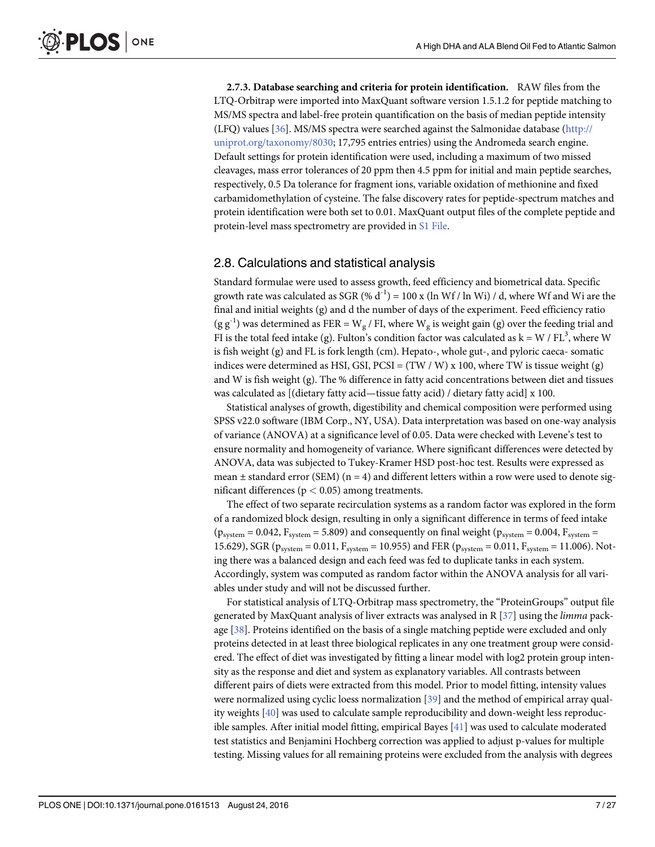<span id="page-6-0"></span>2.7.3. Database searching and criteria for protein identification. RAW files from the LTQ-Orbitrap were imported into MaxQuant software version 1.5.1.2 for peptide matching to MS/MS spectra and label-free protein quantification on the basis of median peptide intensity (LFQ) values  $[36]$ . MS/MS spectra were searched against the Salmonidae database ( $\frac{http://}{http://}$  $\frac{http://}{http://}$  $\frac{http://}{http://}$ [uniprot.org/taxonomy/8030](http://uniprot.org/taxonomy/8030); 17,795 entries entries) using the Andromeda search engine. Default settings for protein identification were used, including a maximum of two missed cleavages, mass error tolerances of 20 ppm then 4.5 ppm for initial and main peptide searches, respectively, 0.5 Da tolerance for fragment ions, variable oxidation of methionine and fixed carbamidomethylation of cysteine. The false discovery rates for peptide-spectrum matches and protein identification were both set to 0.01. MaxQuant output files of the complete peptide and protein-level mass spectrometry are provided in [S1 File](#page-20-0).

#### 2.8. Calculations and statistical analysis

Standard formulae were used to assess growth, feed efficiency and biometrical data. Specific growth rate was calculated as SGR (%  $d^{-1}$ ) = 100 x (ln Wf / ln Wi) / d, where Wf and Wi are the final and initial weights (g) and d the number of days of the experiment. Feed efficiency ratio  $(g g<sup>-1</sup>)$  was determined as FER = W<sub>g</sub> / FI, where W<sub>g</sub> is weight gain (g) over the feeding trial and FI is the total feed intake (g). Fulton's condition factor was calculated as  $k = W / FL^3$ , where W is fish weight (g) and FL is fork length (cm). Hepato-, whole gut-, and pyloric caeca- somatic indices were determined as HSI, GSI,  $PCSI = (TW / W) \times 100$ , where TW is tissue weight (g) and W is fish weight (g). The % difference in fatty acid concentrations between diet and tissues was calculated as [(dietary fatty acid—tissue fatty acid) / dietary fatty acid] x 100.

Statistical analyses of growth, digestibility and chemical composition were performed using SPSS v22.0 software (IBM Corp., NY, USA). Data interpretation was based on one-way analysis of variance (ANOVA) at a significance level of 0.05. Data were checked with Levene's test to ensure normality and homogeneity of variance. Where significant differences were detected by ANOVA, data was subjected to Tukey-Kramer HSD post-hoc test. Results were expressed as mean  $\pm$  standard error (SEM) (n = 4) and different letters within a row were used to denote significant differences ( $p < 0.05$ ) among treatments.

The effect of two separate recirculation systems as a random factor was explored in the form of a randomized block design, resulting in only a significant difference in terms of feed intake  $(p_{system} = 0.042, F_{system} = 5.809)$  and consequently on final weight  $(p_{system} = 0.004, F_{system} = 0.004)$ 15.629), SGR ( $p_{system} = 0.011$ ,  $F_{system} = 10.955$ ) and FER ( $p_{system} = 0.011$ ,  $F_{system} = 11.006$ ). Noting there was a balanced design and each feed was fed to duplicate tanks in each system. Accordingly, system was computed as random factor within the ANOVA analysis for all variables under study and will not be discussed further.

For statistical analysis of LTQ-Orbitrap mass spectrometry, the "ProteinGroups" output file generated by MaxQuant analysis of liver extracts was analysed in R  $[37]$  using the *limma* package  $[38]$  $[38]$  $[38]$ . Proteins identified on the basis of a single matching peptide were excluded and only proteins detected in at least three biological replicates in any one treatment group were considered. The effect of diet was investigated by fitting a linear model with log2 protein group intensity as the response and diet and system as explanatory variables. All contrasts between different pairs of diets were extracted from this model. Prior to model fitting, intensity values were normalized using cyclic loess normalization [[39](#page-22-0)] and the method of empirical array quality weights [\[40\]](#page-23-0) was used to calculate sample reproducibility and down-weight less reproducible samples. After initial model fitting, empirical Bayes [\[41](#page-23-0)] was used to calculate moderated test statistics and Benjamini Hochberg correction was applied to adjust p-values for multiple testing. Missing values for all remaining proteins were excluded from the analysis with degrees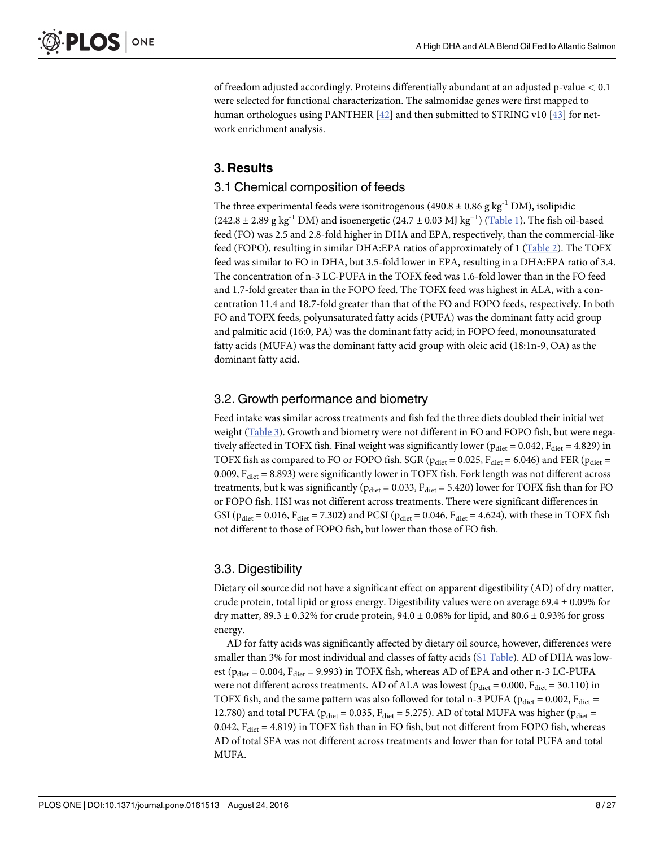<span id="page-7-0"></span>of freedom adjusted accordingly. Proteins differentially abundant at an adjusted p-value < 0.1 were selected for functional characterization. The salmonidae genes were first mapped to human orthologues using PANTHER  $[42]$  $[42]$  $[42]$  and then submitted to STRING v10  $[43]$  $[43]$  $[43]$  for network enrichment analysis.

## 3. Results

#### 3.1 Chemical composition of feeds

The three experimental feeds were isonitrogenous (490.8  $\pm$  0.86 g kg<sup>-1</sup> DM), isolipidic (242.8 ± 2.89 g kg<sup>-1</sup> DM) and isoenergetic (24.7 ± 0.03 MJ kg<sup>-1</sup>) ([Table 1\)](#page-3-0). The fish oil-based feed (FO) was 2.5 and 2.8-fold higher in DHA and EPA, respectively, than the commercial-like feed (FOPO), resulting in similar DHA:EPA ratios of approximately of 1 ([Table 2](#page-8-0)). The TOFX feed was similar to FO in DHA, but 3.5-fold lower in EPA, resulting in a DHA:EPA ratio of 3.4. The concentration of n-3 LC-PUFA in the TOFX feed was 1.6-fold lower than in the FO feed and 1.7-fold greater than in the FOPO feed. The TOFX feed was highest in ALA, with a concentration 11.4 and 18.7-fold greater than that of the FO and FOPO feeds, respectively. In both FO and TOFX feeds, polyunsaturated fatty acids (PUFA) was the dominant fatty acid group and palmitic acid (16:0, PA) was the dominant fatty acid; in FOPO feed, monounsaturated fatty acids (MUFA) was the dominant fatty acid group with oleic acid (18:1n-9, OA) as the dominant fatty acid.

## 3.2. Growth performance and biometry

Feed intake was similar across treatments and fish fed the three diets doubled their initial wet weight ([Table 3\)](#page-9-0). Growth and biometry were not different in FO and FOPO fish, but were negatively affected in TOFX fish. Final weight was significantly lower ( $p_{\text{dict}} = 0.042$ ,  $F_{\text{dict}} = 4.829$ ) in TOFX fish as compared to FO or FOPO fish. SGR ( $p_{\text{diet}} = 0.025$ ,  $F_{\text{diet}} = 6.046$ ) and FER ( $p_{\text{diet}} =$ 0.009,  $F_{\text{dict}}$  = 8.893) were significantly lower in TOFX fish. Fork length was not different across treatments, but k was significantly ( $p_{\text{diet}} = 0.033$ ,  $F_{\text{diet}} = 5.420$ ) lower for TOFX fish than for FO or FOPO fish. HSI was not different across treatments. There were significant differences in GSI ( $p_{\text{dict}} = 0.016$ ,  $F_{\text{dict}} = 7.302$ ) and PCSI ( $p_{\text{dict}} = 0.046$ ,  $F_{\text{dict}} = 4.624$ ), with these in TOFX fish not different to those of FOPO fish, but lower than those of FO fish.

## 3.3. Digestibility

Dietary oil source did not have a significant effect on apparent digestibility (AD) of dry matter, crude protein, total lipid or gross energy. Digestibility values were on average  $69.4 \pm 0.09\%$  for dry matter, 89.3  $\pm$  0.32% for crude protein, 94.0  $\pm$  0.08% for lipid, and 80.6  $\pm$  0.93% for gross energy.

AD for fatty acids was significantly affected by dietary oil source, however, differences were smaller than 3% for most individual and classes of fatty acids ([S1 Table\)](#page-20-0). AD of DHA was lowest ( $p_{\text{dict}} = 0.004$ ,  $F_{\text{dict}} = 9.993$ ) in TOFX fish, whereas AD of EPA and other n-3 LC-PUFA were not different across treatments. AD of ALA was lowest ( $p_{\text{dict}} = 0.000$ ,  $F_{\text{dict}} = 30.110$ ) in TOFX fish, and the same pattern was also followed for total n-3 PUFA ( $p_{\text{diet}} = 0.002$ ,  $F_{\text{diet}} =$ 12.780) and total PUFA ( $p_{\text{diet}}$  = 0.035,  $F_{\text{diet}}$  = 5.275). AD of total MUFA was higher ( $p_{\text{diet}}$  = 0.042,  $F_{\text{dict}}$  = 4.819) in TOFX fish than in FO fish, but not different from FOPO fish, whereas AD of total SFA was not different across treatments and lower than for total PUFA and total MUFA.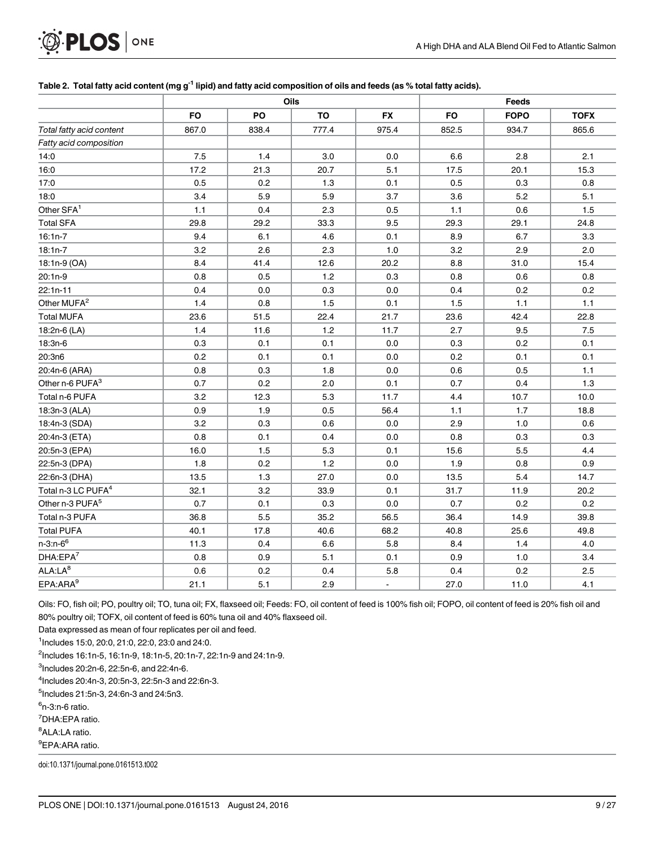## <span id="page-8-0"></span>PLOS ONE .Ø

#### [Table 2.](#page-7-0) Total fatty acid content (mg g<sup>-1</sup> lipid) and fatty acid composition of oils and feeds (as % total fatty acids).

|                                |           |                           | Oils                     |                            | Feeds                    |                           |                            |
|--------------------------------|-----------|---------------------------|--------------------------|----------------------------|--------------------------|---------------------------|----------------------------|
|                                | <b>FO</b> | <b>PO</b>                 | <b>TO</b>                | <b>FX</b>                  | <b>FO</b>                | <b>FOPO</b>               | <b>TOFX</b>                |
| Total fatty acid content       | 867.0     | 838.4                     | 777.4                    | 975.4                      | 852.5                    | 934.7                     | 865.6                      |
| Fatty acid composition         |           |                           |                          |                            |                          |                           |                            |
| 14:0                           | 7.5       | 1.4                       | 3.0                      | 0.0                        | 6.6                      | 2.8                       | 2.1                        |
| 16:0                           | 17.2      | 21.3                      | 20.7                     | 5.1                        | 17.5                     | 20.1                      | 15.3                       |
| 17:0                           | 0.5       | 0.2                       | 1.3                      | 0.1                        | 0.5                      | 0.3                       | 0.8                        |
| 18:0                           | 3.4       | 5.9                       | 5.9                      | 3.7                        | 3.6                      | 5.2                       | 5.1                        |
| Other SFA <sup>1</sup>         | 1.1       | 0.4                       | 2.3                      | 0.5                        | 1.1                      | 0.6                       | 1.5                        |
| <b>Total SFA</b>               | 29.8      | 29.2                      | 33.3                     | 9.5                        | 29.3                     | 29.1                      | 24.8                       |
| $16:1n-7$                      | 9.4       | 6.1                       | 4.6                      | 0.1                        | 8.9                      | 6.7                       | 3.3                        |
| $18:1n-7$                      | 3.2       | 2.6                       | 2.3                      | 1.0                        | 3.2                      | 2.9                       | 2.0                        |
| 18:1n-9 (OA)                   | 8.4       | 41.4                      | 12.6                     | 20.2                       | 8.8                      | 31.0                      | 15.4                       |
| $20:1n-9$                      | 0.8       | 0.5                       | 1.2                      | 0.3                        | 0.8                      | 0.6                       | 0.8                        |
| 22:1n-11                       | 0.4       | 0.0                       | 0.3                      | 0.0                        | 0.4                      | 0.2                       | 0.2                        |
| Other MUFA <sup>2</sup>        | 1.4       | 0.8                       | 1.5                      | 0.1                        | 1.5                      | 1.1                       | $1.1$                      |
| <b>Total MUFA</b>              | 23.6      | 51.5                      | 22.4                     | 21.7                       | 23.6                     | 42.4                      | 22.8                       |
| 18:2n-6 (LA)                   | 1.4       | 11.6                      | 1.2                      | 11.7                       | 2.7                      | 9.5                       | 7.5                        |
| 18:3n-6                        | 0.3       | 0.1                       | 0.1                      | 0.0                        | 0.3                      | 0.2                       | 0.1                        |
| 20:3n6                         | 0.2       | 0.1                       | 0.1                      | 0.0                        | 0.2                      | 0.1                       | 0.1                        |
| 20:4n-6 (ARA)                  | 0.8       | 0.3                       | 1.8                      | 0.0                        | 0.6                      | 0.5                       | 1.1                        |
| Other n-6 PUFA <sup>3</sup>    | 0.7       | 0.2                       | 2.0                      | 0.1                        | 0.7                      | 0.4                       | 1.3                        |
| Total n-6 PUFA                 | 3.2       | 12.3<br>1.9<br>0.3<br>0.1 | 5.3<br>0.5<br>0.6<br>0.4 | 11.7<br>56.4<br>0.0<br>0.0 | 4.4<br>1.1<br>2.9<br>0.8 | 10.7<br>1.7<br>1.0<br>0.3 | 10.0<br>18.8<br>0.6<br>0.3 |
| 18:3n-3 (ALA)                  | 0.9       |                           |                          |                            |                          |                           |                            |
| 18:4n-3 (SDA)                  | 3.2       |                           |                          |                            |                          |                           |                            |
| 20:4n-3 (ETA)                  | 0.8       |                           |                          |                            |                          |                           |                            |
| 20:5n-3 (EPA)                  | 16.0      | 1.5                       | 5.3                      | 0.1                        | 15.6                     | 5.5                       | 4.4                        |
| 22:5n-3 (DPA)                  | 1.8       | 0.2                       | 1.2                      | 0.0                        | 1.9                      | 0.8                       | 0.9                        |
| 22:6n-3 (DHA)                  | 13.5      | 1.3                       | 27.0                     | 0.0                        | 13.5                     | 5.4                       | 14.7                       |
| Total n-3 LC PUFA <sup>4</sup> | 32.1      | 3.2                       | 33.9                     | 0.1                        | 31.7                     | 11.9                      | 20.2                       |
| Other n-3 PUFA <sup>5</sup>    | 0.7       | 0.1                       | 0.3                      | 0.0                        | 0.7                      | 0.2                       | 0.2                        |
| Total n-3 PUFA                 | 36.8      | 5.5                       | 35.2                     | 56.5                       | 36.4                     | 14.9                      | 39.8                       |
| <b>Total PUFA</b>              | 40.1      | 17.8                      | 40.6                     | 68.2                       | 40.8                     | 25.6                      | 49.8                       |
| $n - 3: n - 6^6$               | 11.3      | 0.4                       | 6.6                      | 5.8                        | 8.4                      | 1.4                       | 4.0                        |
| DHA:EPA <sup>7</sup>           | 0.8       | 0.9                       | 5.1                      | 0.1                        | 0.9                      | 1.0                       | 3.4                        |
| ALA:LA <sup>8</sup>            | 0.6       | 0.2                       | 0.4                      | 5.8                        | 0.4                      | 0.2                       | 2.5                        |
| EPA:ARA <sup>9</sup>           | 21.1      | 5.1                       | 2.9                      | $\blacksquare$             | 27.0                     | 11.0                      | 4.1                        |

Oils: FO, fish oil; PO, poultry oil; TO, tuna oil; FX, flaxseed oil; Feeds: FO, oil content of feed is 100% fish oil; FOPO, oil content of feed is 20% fish oil and 80% poultry oil; TOFX, oil content of feed is 60% tuna oil and 40% flaxseed oil.

Data expressed as mean of four replicates per oil and feed.

1 Includes 15:0, 20:0, 21:0, 22:0, 23:0 and 24:0.

2 Includes 16:1n-5, 16:1n-9, 18:1n-5, 20:1n-7, 22:1n-9 and 24:1n-9.

3 Includes 20:2n-6, 22:5n-6, and 22:4n-6.

4 Includes 20:4n-3, 20:5n-3, 22:5n-3 and 22:6n-3.

5 Includes 21:5n-3, 24:6n-3 and 24:5n3.

<sup>6</sup>n-3:n-6 ratio.

7 DHA:EPA ratio.

<sup>8</sup>ALA:LA ratio.

<sup>9</sup>EPA:ARA ratio.

doi:10.1371/journal.pone.0161513.t002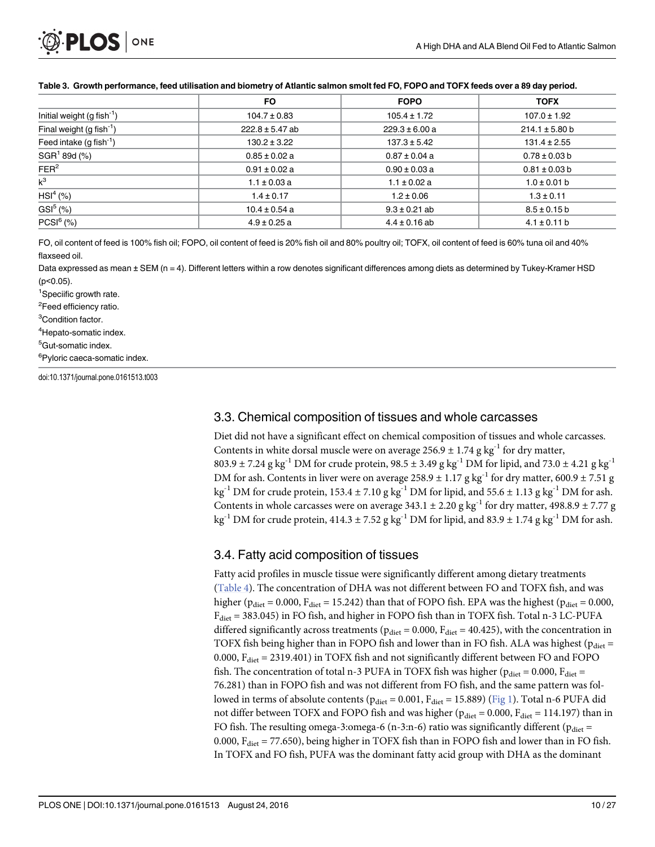#### <span id="page-9-0"></span>[Table 3.](#page-7-0) Growth performance, feed utilisation and biometry of Atlantic salmon smolt fed FO, FOPO and TOFX feeds over a 89 day period.

|                                | <b>FO</b>           | <b>FOPO</b>        | <b>TOFX</b>        |
|--------------------------------|---------------------|--------------------|--------------------|
| Initial weight $(g fish^{-1})$ | $104.7 \pm 0.83$    | $105.4 \pm 1.72$   | $107.0 \pm 1.92$   |
| Final weight $(g fish^{-1})$   | $222.8 \pm 5.47$ ab | $229.3 \pm 6.00 a$ | $214.1 \pm 5.80$ b |
| Feed intake $(g fish^{-1})$    | $130.2 \pm 3.22$    | $137.3 \pm 5.42$   | $131.4 \pm 2.55$   |
| SGR <sup>1</sup> 89d (%)       | $0.85 \pm 0.02 a$   | $0.87 \pm 0.04$ a  | $0.78 \pm 0.03$ b  |
| FER <sup>2</sup>               | $0.91 \pm 0.02$ a   | $0.90 \pm 0.03$ a  | $0.81 \pm 0.03$ b  |
| $k^3$                          | $1.1 \pm 0.03$ a    | $1.1 \pm 0.02$ a   | $1.0 \pm 0.01$ b   |
| $HSI4$ (%)                     | $1.4 \pm 0.17$      | $1.2 \pm 0.06$     | $1.3 \pm 0.11$     |
| GSI <sup>5</sup> (%)           | $10.4 \pm 0.54$ a   | $9.3 \pm 0.21$ ab  | $8.5 \pm 0.15$ b   |
| $PCSI6$ (%)                    | $4.9 \pm 0.25$ a    | $4.4 \pm 0.16$ ab  | $4.1 \pm 0.11$ b   |

FO, oil content of feed is 100% fish oil; FOPO, oil content of feed is 20% fish oil and 80% poultry oil; TOFX, oil content of feed is 60% tuna oil and 40% flaxseed oil.

Data expressed as mean ± SEM (n = 4). Different letters within a row denotes significant differences among diets as determined by Tukey-Kramer HSD (p<0.05).

<sup>1</sup>Speciific growth rate.

<sup>2</sup>Feed efficiency ratio.

<sup>3</sup>Condition factor.

<sup>4</sup>Hepato-somatic index.

<sup>5</sup>Gut-somatic index.

<sup>6</sup>Pyloric caeca-somatic index.

doi:10.1371/journal.pone.0161513.t003

## 3.3. Chemical composition of tissues and whole carcasses

Diet did not have a significant effect on chemical composition of tissues and whole carcasses. Contents in white dorsal muscle were on average  $256.9 \pm 1.74$  g kg<sup>-1</sup> for dry matter,  $803.9 \pm 7.24$  g kg<sup>-1</sup> DM for crude protein,  $98.5 \pm 3.49$  g kg<sup>-1</sup> DM for lipid, and  $73.0 \pm 4.21$  g kg<sup>-1</sup> DM for ash. Contents in liver were on average  $258.9 \pm 1.17$  g kg<sup>-1</sup> for dry matter,  $600.9 \pm 7.51$  g kg<sup>-1</sup> DM for crude protein,  $153.4 \pm 7.10$  g kg<sup>-1</sup> DM for lipid, and  $55.6 \pm 1.13$  g kg<sup>-1</sup> DM for ash. Contents in whole carcasses were on average  $343.1 \pm 2.20$  g kg<sup>-1</sup> for dry matter,  $498.8.9 \pm 7.77$  g kg<sup>-1</sup> DM for crude protein,  $414.3 \pm 7.52$  g kg<sup>-1</sup> DM for lipid, and  $83.9 \pm 1.74$  g kg<sup>-1</sup> DM for ash.

#### 3.4. Fatty acid composition of tissues

Fatty acid profiles in muscle tissue were significantly different among dietary treatments [\(Table 4\)](#page-10-0). The concentration of DHA was not different between FO and TOFX fish, and was higher ( $p_{\text{dict}} = 0.000$ ,  $F_{\text{dict}} = 15.242$ ) than that of FOPO fish. EPA was the highest ( $p_{\text{dict}} = 0.000$ , Fdiet = 383.045) in FO fish, and higher in FOPO fish than in TOFX fish. Total n-3 LC-PUFA differed significantly across treatments ( $p_{\text{diet}} = 0.000$ ,  $F_{\text{diet}} = 40.425$ ), with the concentration in TOFX fish being higher than in FOPO fish and lower than in FO fish. ALA was highest ( $p_{\text{diet}} =$ 0.000,  $F_{\text{dict}} = 2319.401$ ) in TOFX fish and not significantly different between FO and FOPO fish. The concentration of total n-3 PUFA in TOFX fish was higher ( $p_{\text{diet}} = 0.000$ ,  $F_{\text{diet}} =$ 76.281) than in FOPO fish and was not different from FO fish, and the same pattern was followed in terms of absolute contents ( $p_{\text{diet}} = 0.001$ ,  $F_{\text{diet}} = 15.889$ ) ( $\underline{Fig 1}$  $\underline{Fig 1}$  $\underline{Fig 1}$ ). Total n-6 PUFA did not differ between TOFX and FOPO fish and was higher ( $p_{\text{dict}} = 0.000$ ,  $F_{\text{dict}} = 114.197$ ) than in FO fish. The resulting omega-3:omega-6 (n-3:n-6) ratio was significantly different ( $p_{\text{dict}}$  = 0.000,  $F_{\text{dict}}$  = 77.650), being higher in TOFX fish than in FOPO fish and lower than in FO fish. In TOFX and FO fish, PUFA was the dominant fatty acid group with DHA as the dominant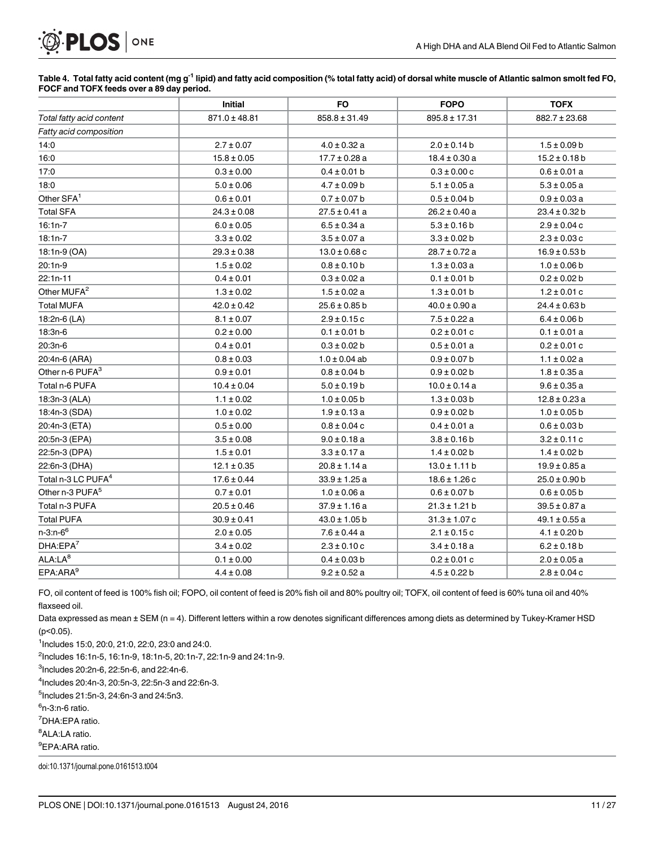# <span id="page-10-0"></span>PLOS | ONE

[Table 4.](#page-9-0) Total fatty acid content (mg g<sup>-1</sup> lipid) and fatty acid composition (% total fatty acid) of dorsal white muscle of Atlantic salmon smolt fed FO, FOCF and TOFX feeds over a 89 day period.

|                                | Initial           | <b>FO</b>         | <b>FOPO</b>       | <b>TOFX</b>       |
|--------------------------------|-------------------|-------------------|-------------------|-------------------|
| Total fatty acid content       | $871.0 \pm 48.81$ | $858.8 \pm 31.49$ | $895.8 \pm 17.31$ | 882.7 ± 23.68     |
| Fatty acid composition         |                   |                   |                   |                   |
| 14:0                           | $2.7 \pm 0.07$    | $4.0 \pm 0.32$ a  | $2.0 \pm 0.14 b$  | $1.5 \pm 0.09$ b  |
| 16:0                           | $15.8 \pm 0.05$   | $17.7 \pm 0.28$ a | $18.4 \pm 0.30 a$ | $15.2 \pm 0.18$ b |
| 17:0                           | $0.3\pm0.00$      | $0.4 \pm 0.01$ b  | $0.3 \pm 0.00$ c  | $0.6 \pm 0.01$ a  |
| 18:0                           | $5.0 \pm 0.06$    | $4.7 \pm 0.09$ b  | $5.1 \pm 0.05 a$  | $5.3 \pm 0.05 a$  |
| Other SFA <sup>1</sup>         | $0.6 \pm 0.01$    | $0.7 \pm 0.07$ b  | $0.5 \pm 0.04$ b  | $0.9 \pm 0.03 a$  |
| <b>Total SFA</b>               | $24.3 \pm 0.08$   | 27.5 ± 0.41 a     | $26.2 \pm 0.40$ a | $23.4 \pm 0.32$ b |
| $16:1n-7$                      | $6.0 \pm 0.05$    | $6.5 \pm 0.34$ a  | $5.3 \pm 0.16 b$  | $2.9 \pm 0.04$ c  |
| $18:1n-7$                      | $3.3 \pm 0.02$    | $3.5 \pm 0.07$ a  | $3.3 \pm 0.02 b$  | $2.3 \pm 0.03$ c  |
| 18:1n-9 (OA)                   | $29.3 \pm 0.38$   | $13.0 \pm 0.68$ c | $28.7 \pm 0.72$ a | $16.9 \pm 0.53 b$ |
| $20:1n-9$                      | $1.5 \pm 0.02$    | $0.8 \pm 0.10 b$  | $1.3 \pm 0.03 a$  | $1.0 \pm 0.06 b$  |
| $22:1n-11$                     | $0.4 \pm 0.01$    | $0.3 \pm 0.02 a$  | $0.1 \pm 0.01$ b  | $0.2 \pm 0.02 b$  |
| Other MUFA <sup>2</sup>        | $1.3 \pm 0.02$    | $1.5 \pm 0.02$ a  | $1.3 \pm 0.01$ b  | $1.2 \pm 0.01$ c  |
| <b>Total MUFA</b>              | $42.0 \pm 0.42$   | $25.6 \pm 0.85$ b | $40.0 \pm 0.90 a$ | $24.4 \pm 0.63$ b |
| 18:2n-6 (LA)                   | $8.1 \pm 0.07$    | $2.9 \pm 0.15$ c  | $7.5 \pm 0.22$ a  | $6.4 \pm 0.06$ b  |
| 18:3n-6                        | $0.2 \pm 0.00$    | $0.1 \pm 0.01$ b  | $0.2 \pm 0.01$ c  | $0.1 \pm 0.01$ a  |
| $20:3n-6$                      | $0.4 \pm 0.01$    | $0.3 \pm 0.02 b$  | $0.5 \pm 0.01 a$  | $0.2 \pm 0.01$ c  |
| 20:4n-6 (ARA)                  | $0.8 \pm 0.03$    | $1.0 \pm 0.04$ ab | $0.9 \pm 0.07 b$  | $1.1 \pm 0.02$ a  |
| Other n-6 PUFA <sup>3</sup>    | $0.9 \pm 0.01$    | $0.8 \pm 0.04$ b  | $0.9 \pm 0.02 b$  | $1.8 \pm 0.35 a$  |
| Total n-6 PUFA                 | $10.4 \pm 0.04$   | $5.0 \pm 0.19 b$  | $10.0 \pm 0.14$ a | $9.6 \pm 0.35 a$  |
| 18:3n-3 (ALA)                  | $1.1 \pm 0.02$    | $1.0 \pm 0.05$ b  | $1.3 \pm 0.03 b$  | $12.8 \pm 0.23$ a |
| 18:4n-3 (SDA)                  | $1.0 \pm 0.02$    | $1.9 \pm 0.13 a$  | $0.9 \pm 0.02 b$  | $1.0 \pm 0.05$ b  |
| 20:4n-3 (ETA)                  | $0.5 \pm 0.00$    | $0.8 \pm 0.04$ c  | $0.4 \pm 0.01$ a  | $0.6 \pm 0.03 b$  |
| 20:5n-3 (EPA)                  | $3.5 \pm 0.08$    | $9.0 \pm 0.18$ a  | $3.8 \pm 0.16 b$  | $3.2 \pm 0.11$ c  |
| 22:5n-3 (DPA)                  | $1.5 \pm 0.01$    | $3.3 \pm 0.17$ a  | $1.4 \pm 0.02 b$  | $1.4 \pm 0.02$ b  |
| 22:6n-3 (DHA)                  | $12.1 \pm 0.35$   | 20.8 ± 1.14 a     | $13.0 \pm 1.11 b$ | $19.9 \pm 0.85$ a |
| Total n-3 LC PUFA <sup>4</sup> | $17.6 \pm 0.44$   | $33.9 \pm 1.25$ a | $18.6 \pm 1.26$ c | $25.0 \pm 0.90$ b |
| Other n-3 PUFA <sup>5</sup>    | $0.7 \pm 0.01$    | $1.0 \pm 0.06$ a  | $0.6 \pm 0.07$ b  | $0.6 \pm 0.05 b$  |
| Total n-3 PUFA                 | $20.5 \pm 0.46$   | $37.9 \pm 1.16$ a | $21.3 \pm 1.21$ b | $39.5 \pm 0.87$ a |
| <b>Total PUFA</b>              | $30.9 \pm 0.41$   | $43.0 \pm 1.05$ b | $31.3 \pm 1.07$ c | $49.1 \pm 0.55$ a |
| $n-3:n-6^6$                    | $2.0 \pm 0.05$    | $7.6 \pm 0.44$ a  | $2.1 \pm 0.15c$   | $4.1 \pm 0.20$ b  |
| DHA:EPA <sup>7</sup>           | $3.4 \pm 0.02$    | $2.3 \pm 0.10$ c  | $3.4 \pm 0.18$ a  | $6.2 \pm 0.18$ b  |
| ALA:LA <sup>8</sup>            | $0.1 \pm 0.00$    | $0.4 \pm 0.03$ b  | $0.2 \pm 0.01$ c  | $2.0 \pm 0.05 a$  |
| EPA:ARA <sup>9</sup>           | $4.4 \pm 0.08$    | $9.2 \pm 0.52$ a  | $4.5 \pm 0.22$ b  | $2.8 \pm 0.04$ c  |

FO, oil content of feed is 100% fish oil; FOPO, oil content of feed is 20% fish oil and 80% poultry oil; TOFX, oil content of feed is 60% tuna oil and 40% flaxseed oil.

Data expressed as mean ± SEM (n = 4). Different letters within a row denotes significant differences among diets as determined by Tukey-Kramer HSD (p<0.05).

1 Includes 15:0, 20:0, 21:0, 22:0, 23:0 and 24:0.

2 Includes 16:1n-5, 16:1n-9, 18:1n-5, 20:1n-7, 22:1n-9 and 24:1n-9.

 $3$ Includes 20:2n-6, 22:5n-6, and 22:4n-6.

4 Includes 20:4n-3, 20:5n-3, 22:5n-3 and 22:6n-3.

5 Includes 21:5n-3, 24:6n-3 and 24:5n3.

<sup>6</sup>n-3:n-6 ratio.

7 DHA:EPA ratio.

<sup>8</sup>ALA:LA ratio.

<sup>9</sup>EPA:ARA ratio.

doi:10.1371/journal.pone.0161513.t004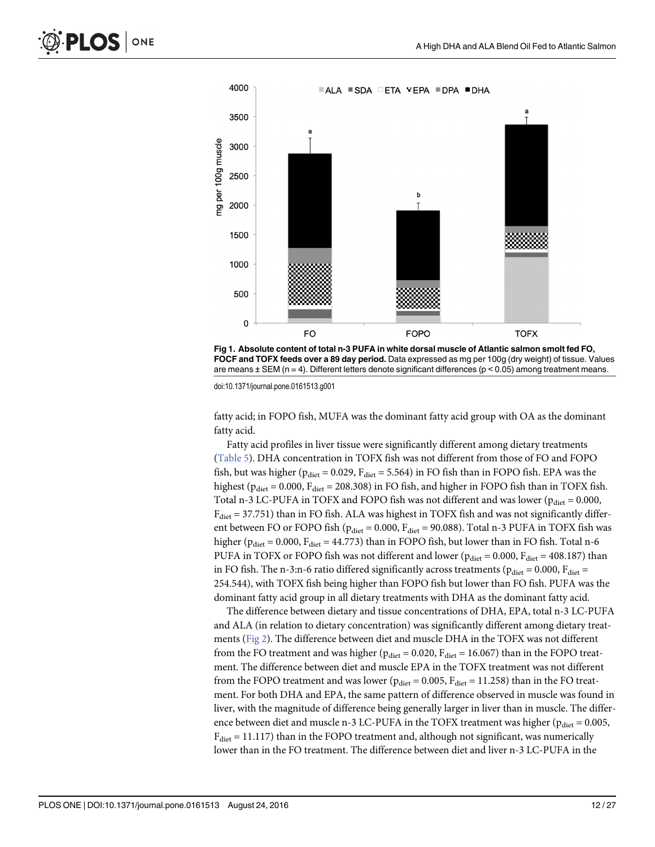<span id="page-11-0"></span>

[Fig 1. A](#page-9-0)bsolute content of total n-3 PUFA in white dorsal muscle of Atlantic salmon smolt fed FO, FOCF and TOFX feeds over a 89 day period. Data expressed as mg per 100g (dry weight) of tissue. Values are means ± SEM (n = 4). Different letters denote significant differences (p < 0.05) among treatment means.

doi:10.1371/journal.pone.0161513.g001

fatty acid; in FOPO fish, MUFA was the dominant fatty acid group with OA as the dominant fatty acid.

Fatty acid profiles in liver tissue were significantly different among dietary treatments [\(Table 5\)](#page-12-0). DHA concentration in TOFX fish was not different from those of FO and FOPO fish, but was higher ( $p_{\text{diet}} = 0.029$ ,  $F_{\text{diet}} = 5.564$ ) in FO fish than in FOPO fish. EPA was the highest ( $p_{\text{dict}} = 0.000$ ,  $F_{\text{dict}} = 208.308$ ) in FO fish, and higher in FOPO fish than in TOFX fish. Total n-3 LC-PUFA in TOFX and FOPO fish was not different and was lower ( $p_{\text{dict}} = 0.000$ ,  $F<sub>dict</sub> = 37.751$ ) than in FO fish. ALA was highest in TOFX fish and was not significantly different between FO or FOPO fish ( $p_{\text{dict}} = 0.000$ ,  $F_{\text{dict}} = 90.088$ ). Total n-3 PUFA in TOFX fish was higher ( $p_{\text{diet}} = 0.000$ ,  $F_{\text{diet}} = 44.773$ ) than in FOPO fish, but lower than in FO fish. Total n-6 PUFA in TOFX or FOPO fish was not different and lower ( $p_{\text{dict}} = 0.000$ ,  $F_{\text{dict}} = 408.187$ ) than in FO fish. The n-3:n-6 ratio differed significantly across treatments ( $p_{\text{diet}} = 0.000$ ,  $F_{\text{diet}} =$ 254.544), with TOFX fish being higher than FOPO fish but lower than FO fish. PUFA was the dominant fatty acid group in all dietary treatments with DHA as the dominant fatty acid.

The difference between dietary and tissue concentrations of DHA, EPA, total n-3 LC-PUFA and ALA (in relation to dietary concentration) was significantly different among dietary treatments [\(Fig 2](#page-13-0)). The difference between diet and muscle DHA in the TOFX was not different from the FO treatment and was higher ( $p_{\text{dict}} = 0.020$ ,  $F_{\text{dict}} = 16.067$ ) than in the FOPO treatment. The difference between diet and muscle EPA in the TOFX treatment was not different from the FOPO treatment and was lower ( $p_{\text{dict}} = 0.005$ ,  $F_{\text{dict}} = 11.258$ ) than in the FO treatment. For both DHA and EPA, the same pattern of difference observed in muscle was found in liver, with the magnitude of difference being generally larger in liver than in muscle. The difference between diet and muscle n-3 LC-PUFA in the TOFX treatment was higher ( $p_{\text{dict}} = 0.005$ ,  $F<sub>dict</sub> = 11.117$ ) than in the FOPO treatment and, although not significant, was numerically lower than in the FO treatment. The difference between diet and liver n-3 LC-PUFA in the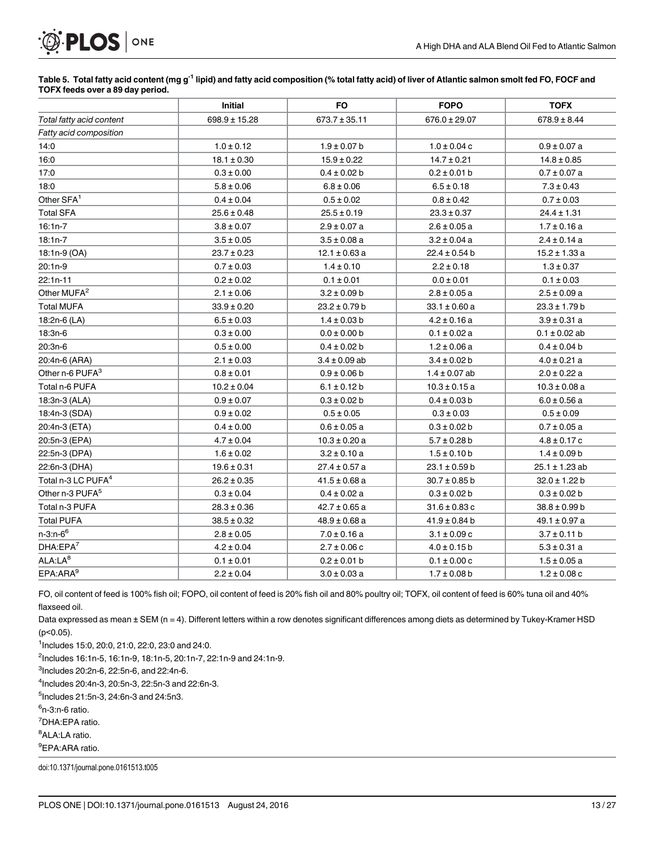# <span id="page-12-0"></span>**PLOS** | ONE

#### [Table 5.](#page-11-0) Total fatty acid content (mg g<sup>-1</sup> lipid) and fatty acid composition (% total fatty acid) of liver of Atlantic salmon smolt fed FO, FOCF and TOFX feeds over a 89 day period.

|                                | Initial           | FO                | <b>FOPO</b>       | <b>TOFX</b>        |
|--------------------------------|-------------------|-------------------|-------------------|--------------------|
| Total fatty acid content       | $698.9 \pm 15.28$ | $673.7 \pm 35.11$ | $676.0 \pm 29.07$ | $678.9 \pm 8.44$   |
| Fatty acid composition         |                   |                   |                   |                    |
| 14:0                           | $1.0 \pm 0.12$    | $1.9 \pm 0.07$ b  | $1.0 \pm 0.04$ c  | $0.9 \pm 0.07$ a   |
| 16:0                           | $18.1 \pm 0.30$   | $15.9 \pm 0.22$   | $14.7 \pm 0.21$   | $14.8 \pm 0.85$    |
| 17:0                           | $0.3 \pm 0.00$    | $0.4 \pm 0.02 b$  | $0.2 \pm 0.01$ b  | $0.7 \pm 0.07$ a   |
| 18:0                           | $5.8 \pm 0.06$    | $6.8 \pm 0.06$    | $6.5 \pm 0.18$    | $7.3 \pm 0.43$     |
| Other SFA <sup>1</sup>         | $0.4 \pm 0.04$    | $0.5 \pm 0.02$    | $0.8 \pm 0.42$    | $0.7 \pm 0.03$     |
| <b>Total SFA</b>               | $25.6 \pm 0.48$   | $25.5 \pm 0.19$   | $23.3 \pm 0.37$   | $24.4 \pm 1.31$    |
| $16:1n-7$                      | $3.8 \pm 0.07$    | $2.9 \pm 0.07$ a  | $2.6 \pm 0.05 a$  | $1.7 \pm 0.16$ a   |
| $18:1n-7$                      | $3.5 \pm 0.05$    | $3.5 \pm 0.08$ a  | $3.2 \pm 0.04$ a  | $2.4 \pm 0.14$ a   |
| 18:1n-9 (OA)                   | $23.7 \pm 0.23$   | $12.1 \pm 0.63$ a | $22.4 \pm 0.54$ b | $15.2 \pm 1.33$ a  |
| $20:1n-9$                      | $0.7 \pm 0.03$    | $1.4 \pm 0.10$    | $2.2 \pm 0.18$    | $1.3 \pm 0.37$     |
| $22:1n-11$                     | $0.2 \pm 0.02$    | $0.1 \pm 0.01$    | $0.0 \pm 0.01$    | $0.1 \pm 0.03$     |
| Other MUFA <sup>2</sup>        | $2.1 \pm 0.06$    | $3.2 \pm 0.09 b$  | $2.8 \pm 0.05 a$  | $2.5 \pm 0.09 a$   |
| <b>Total MUFA</b>              | $33.9 \pm 0.20$   | $23.2 \pm 0.79 b$ | 33.1 ± 0.60 a     | $23.3 \pm 1.79 b$  |
| 18:2n-6 (LA)                   | $6.5 \pm 0.03$    | $1.4 \pm 0.03$ b  | $4.2 \pm 0.16$ a  | $3.9 \pm 0.31$ a   |
| 18:3n-6                        | $0.3 \pm 0.00$    | $0.0 \pm 0.00$ b  | $0.1 \pm 0.02 a$  | $0.1 \pm 0.02$ ab  |
| $20:3n-6$                      | $0.5 \pm 0.00$    | $0.4 \pm 0.02 b$  | $1.2 \pm 0.06$ a  | $0.4 \pm 0.04$ b   |
| 20:4n-6 (ARA)                  | $2.1 \pm 0.03$    | $3.4 \pm 0.09$ ab | $3.4 \pm 0.02$ b  | $4.0 \pm 0.21$ a   |
| Other n-6 PUFA <sup>3</sup>    | $0.8 \pm 0.01$    | $0.9 \pm 0.06$ b  | $1.4 \pm 0.07$ ab | $2.0 \pm 0.22$ a   |
| Total n-6 PUFA                 | $10.2 \pm 0.04$   | $6.1 \pm 0.12$ b  | $10.3 \pm 0.15$ a | $10.3 \pm 0.08$ a  |
| 18:3n-3 (ALA)                  | $0.9 \pm 0.07$    | $0.3 \pm 0.02 b$  | $0.4 \pm 0.03 b$  | $6.0 \pm 0.56$ a   |
| 18:4n-3 (SDA)                  | $0.9 \pm 0.02$    | $0.5 \pm 0.05$    | $0.3 \pm 0.03$    | $0.5 \pm 0.09$     |
| 20:4n-3 (ETA)                  | $0.4 \pm 0.00$    | $0.6 \pm 0.05 a$  | $0.3 \pm 0.02 b$  | $0.7 \pm 0.05 a$   |
| 20:5n-3 (EPA)                  | $4.7 \pm 0.04$    | $10.3 \pm 0.20 a$ | $5.7 \pm 0.28$ b  | $4.8 \pm 0.17$ c   |
| 22:5n-3 (DPA)                  | $1.6 \pm 0.02$    | $3.2 \pm 0.10 a$  | $1.5 \pm 0.10$ b  | $1.4 \pm 0.09 b$   |
| 22:6n-3 (DHA)                  | $19.6 \pm 0.31$   | $27.4 \pm 0.57$ a | $23.1 \pm 0.59$ b | $25.1 \pm 1.23$ ab |
| Total n-3 LC PUFA <sup>4</sup> | $26.2 \pm 0.35$   | $41.5 \pm 0.68$ a | $30.7 \pm 0.85$ b | $32.0 \pm 1.22 b$  |
| Other n-3 PUFA <sup>5</sup>    | $0.3 \pm 0.04$    | $0.4 \pm 0.02 a$  | $0.3 \pm 0.02 b$  | $0.3 \pm 0.02 b$   |
| Total n-3 PUFA                 | $28.3 \pm 0.36$   | $42.7 \pm 0.65$ a | $31.6 \pm 0.83$ c | $38.8 \pm 0.99 b$  |
| <b>Total PUFA</b>              | $38.5 \pm 0.32$   | $48.9 \pm 0.68$ a | $41.9 \pm 0.84$ b | $49.1 \pm 0.97$ a  |
| $n-3:n-6^6$                    | $2.8 \pm 0.05$    | $7.0 \pm 0.16$ a  | $3.1 \pm 0.09$ c  | $3.7 \pm 0.11$ b   |
| DHA:EPA <sup>7</sup>           | $4.2 \pm 0.04$    | $2.7 \pm 0.06$ c  | $4.0 \pm 0.15$ b  | $5.3 \pm 0.31$ a   |
| ALA:LA <sup>8</sup>            | $0.1 \pm 0.01$    | $0.2 \pm 0.01$ b  | $0.1 \pm 0.00$ c  | $1.5 \pm 0.05 a$   |
| EPA:ARA <sup>9</sup>           | $2.2 \pm 0.04$    | $3.0 \pm 0.03 a$  | $1.7 \pm 0.08$ b  | $1.2 \pm 0.08$ c   |

FO, oil content of feed is 100% fish oil; FOPO, oil content of feed is 20% fish oil and 80% poultry oil; TOFX, oil content of feed is 60% tuna oil and 40% flaxseed oil.

Data expressed as mean ± SEM (n = 4). Different letters within a row denotes significant differences among diets as determined by Tukey-Kramer HSD (p<0.05).

1 Includes 15:0, 20:0, 21:0, 22:0, 23:0 and 24:0.

2 Includes 16:1n-5, 16:1n-9, 18:1n-5, 20:1n-7, 22:1n-9 and 24:1n-9.

 $3$ Includes 20:2n-6, 22:5n-6, and 22:4n-6.

4 Includes 20:4n-3, 20:5n-3, 22:5n-3 and 22:6n-3.

5 Includes 21:5n-3, 24:6n-3 and 24:5n3.

<sup>6</sup>n-3:n-6 ratio.

7 DHA:EPA ratio.

<sup>8</sup>ALA:LA ratio.

<sup>9</sup>EPA:ARA ratio.

doi:10.1371/journal.pone.0161513.t005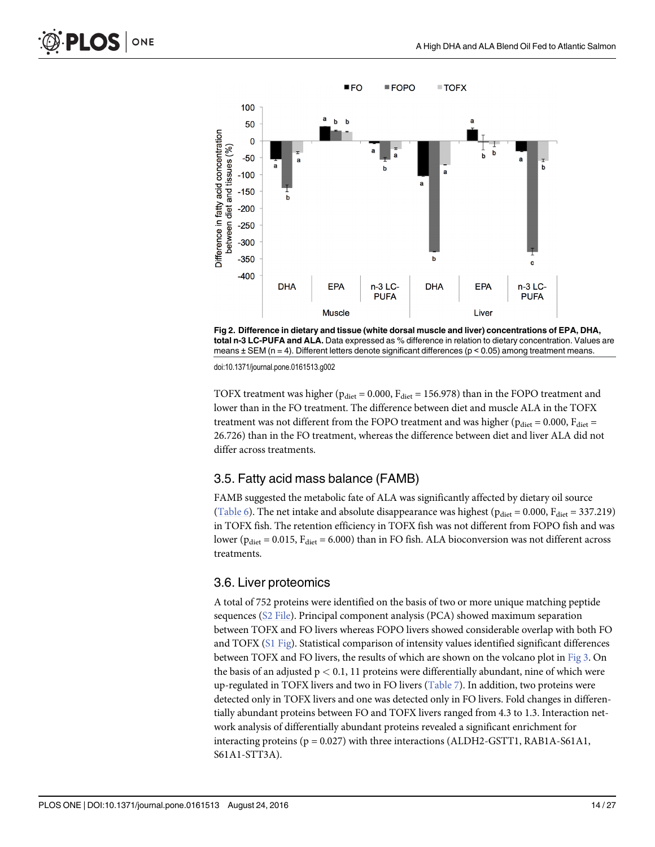<span id="page-13-0"></span>

[Fig 2. D](#page-11-0)ifference in dietary and tissue (white dorsal muscle and liver) concentrations of EPA, DHA, total n-3 LC-PUFA and ALA. Data expressed as % difference in relation to dietary concentration. Values are means  $\pm$  SEM (n = 4). Different letters denote significant differences (p < 0.05) among treatment means.

doi:10.1371/journal.pone.0161513.g002

TOFX treatment was higher ( $p_{\text{diet}} = 0.000$ ,  $F_{\text{diet}} = 156.978$ ) than in the FOPO treatment and lower than in the FO treatment. The difference between diet and muscle ALA in the TOFX treatment was not different from the FOPO treatment and was higher ( $p_{\text{diet}} = 0.000$ ,  $F_{\text{diet}} =$ 26.726) than in the FO treatment, whereas the difference between diet and liver ALA did not differ across treatments.

#### 3.5. Fatty acid mass balance (FAMB)

FAMB suggested the metabolic fate of ALA was significantly affected by dietary oil source [\(Table 6\)](#page-14-0). The net intake and absolute disappearance was highest ( $p_{\text{dict}} = 0.000$ ,  $F_{\text{dict}} = 337.219$ ) in TOFX fish. The retention efficiency in TOFX fish was not different from FOPO fish and was lower ( $p_{\text{diet}}$  = 0.015,  $F_{\text{diet}}$  = 6.000) than in FO fish. ALA bioconversion was not different across treatments.

#### 3.6. Liver proteomics

A total of 752 proteins were identified on the basis of two or more unique matching peptide sequences (S<sub>2</sub> File). Principal component analysis (PCA) showed maximum separation between TOFX and FO livers whereas FOPO livers showed considerable overlap with both FO and TOFX [\(S1 Fig](#page-20-0)). Statistical comparison of intensity values identified significant differences between TOFX and FO livers, the results of which are shown on the volcano plot in [Fig 3](#page-15-0). On the basis of an adjusted  $p < 0.1$ , 11 proteins were differentially abundant, nine of which were up-regulated in TOFX livers and two in FO livers  $(Table 7)$  $(Table 7)$ . In addition, two proteins were detected only in TOFX livers and one was detected only in FO livers. Fold changes in differentially abundant proteins between FO and TOFX livers ranged from 4.3 to 1.3. Interaction network analysis of differentially abundant proteins revealed a significant enrichment for interacting proteins ( $p = 0.027$ ) with three interactions (ALDH2-GSTT1, RAB1A-S61A1, S61A1-STT3A).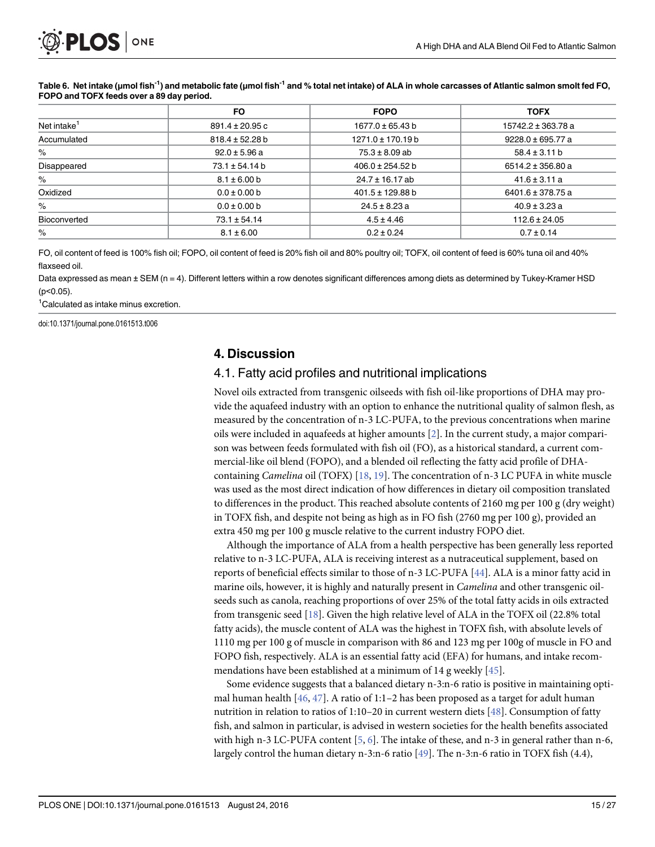|                         | <b>FO</b>           | <b>FOPO</b>           | <b>TOFX</b>           |
|-------------------------|---------------------|-----------------------|-----------------------|
| Net intake <sup>1</sup> | $891.4 \pm 20.95$ c | $1677.0 \pm 65.43 b$  | 15742.2 ± 363.78 a    |
| Accumulated             | $818.4 \pm 52.28$ b | $1271.0 \pm 170.19 b$ | $9228.0 \pm 695.77$ a |
| %                       | $92.0 \pm 5.96$ a   | $75.3 \pm 8.09$ ab    | $58.4 \pm 3.11 b$     |
| Disappeared             | $73.1 \pm 54.14 b$  | $406.0 \pm 254.52 b$  | $6514.2 \pm 356.80$ a |
| $\%$                    | $8.1 \pm 6.00 b$    | $24.7 \pm 16.17$ ab   | $41.6 \pm 3.11 a$     |
| Oxidized                | $0.0 \pm 0.00 b$    | 401.5 ± 129.88 b      | 6401.6 ± 378.75 a     |
| $\%$                    | $0.0 \pm 0.00 b$    | $24.5 \pm 8.23$ a     | $40.9 \pm 3.23$ a     |
| Bioconverted            | $73.1 \pm 54.14$    | $4.5 \pm 4.46$        | $112.6 \pm 24.05$     |
| $\%$                    | $8.1 \pm 6.00$      | $0.2 \pm 0.24$        | $0.7 \pm 0.14$        |

#### <span id="page-14-0"></span>[Table 6.](#page-13-0) Net intake (μmol fish<sup>-1</sup>) and metabolic fate (μmol fish<sup>-1</sup> and % total net intake) of ALA in whole carcasses of Atlantic salmon smolt fed FO, FOPO and TOFX feeds over a 89 day period.

FO, oil content of feed is 100% fish oil; FOPO, oil content of feed is 20% fish oil and 80% poultry oil; TOFX, oil content of feed is 60% tuna oil and 40% flaxseed oil.

Data expressed as mean ± SEM (n = 4). Different letters within a row denotes significant differences among diets as determined by Tukey-Kramer HSD  $(p<0.05)$ .

1 Calculated as intake minus excretion.

doi:10.1371/journal.pone.0161513.t006

## 4. Discussion

#### 4.1. Fatty acid profiles and nutritional implications

Novel oils extracted from transgenic oilseeds with fish oil-like proportions of DHA may provide the aquafeed industry with an option to enhance the nutritional quality of salmon flesh, as measured by the concentration of n-3 LC-PUFA, to the previous concentrations when marine oils were included in aquafeeds at higher amounts [\[2\]](#page-21-0). In the current study, a major comparison was between feeds formulated with fish oil (FO), as a historical standard, a current commercial-like oil blend (FOPO), and a blended oil reflecting the fatty acid profile of DHA-containing Camelina oil (TOFX) [\[18,](#page-21-0) [19\]](#page-22-0). The concentration of n-3 LC PUFA in white muscle was used as the most direct indication of how differences in dietary oil composition translated to differences in the product. This reached absolute contents of 2160 mg per 100 g (dry weight) in TOFX fish, and despite not being as high as in FO fish (2760 mg per 100 g), provided an extra 450 mg per 100 g muscle relative to the current industry FOPO diet.

Although the importance of ALA from a health perspective has been generally less reported relative to n-3 LC-PUFA, ALA is receiving interest as a nutraceutical supplement, based on reports of beneficial effects similar to those of n-3 LC-PUFA [[44](#page-23-0)]. ALA is a minor fatty acid in marine oils, however, it is highly and naturally present in *Camelina* and other transgenic oilseeds such as canola, reaching proportions of over 25% of the total fatty acids in oils extracted from transgenic seed  $[18]$ . Given the high relative level of ALA in the TOFX oil (22.8% total fatty acids), the muscle content of ALA was the highest in TOFX fish, with absolute levels of 1110 mg per 100 g of muscle in comparison with 86 and 123 mg per 100g of muscle in FO and FOPO fish, respectively. ALA is an essential fatty acid (EFA) for humans, and intake recommendations have been established at a minimum of 14 g weekly [[45](#page-23-0)].

Some evidence suggests that a balanced dietary n-3:n-6 ratio is positive in maintaining optimal human health  $[46, 47]$  $[46, 47]$  $[46, 47]$ . A ratio of 1:1-2 has been proposed as a target for adult human nutrition in relation to ratios of 1:10–20 in current western diets [[48](#page-23-0)]. Consumption of fatty fish, and salmon in particular, is advised in western societies for the health benefits associated with high n-3 LC-PUFA content  $[5, 6]$  $[5, 6]$  $[5, 6]$  $[5, 6]$ . The intake of these, and n-3 in general rather than n-6, largely control the human dietary n-3:n-6 ratio  $[49]$  $[49]$ . The n-3:n-6 ratio in TOFX fish (4.4),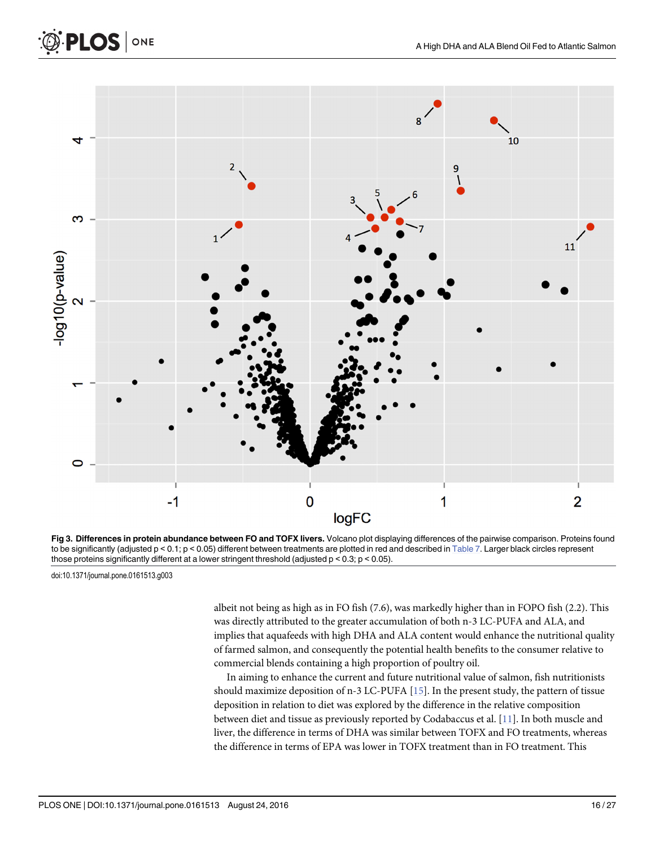

[Fig 3. D](#page-13-0)ifferences in protein abundance between FO and TOFX livers. Volcano plot displaying differences of the pairwise comparison. Proteins found to be significantly (adjusted  $p < 0.1$ ;  $p < 0.05$ ) different between treatments are plotted in red and described in [Table 7.](#page-16-0) Larger black circles represent those proteins significantly different at a lower stringent threshold (adjusted p < 0.3; p < 0.05).

doi:10.1371/journal.pone.0161513.g003

<span id="page-15-0"></span>PLOS ONE

albeit not being as high as in FO fish (7.6), was markedly higher than in FOPO fish (2.2). This was directly attributed to the greater accumulation of both n-3 LC-PUFA and ALA, and implies that aquafeeds with high DHA and ALA content would enhance the nutritional quality of farmed salmon, and consequently the potential health benefits to the consumer relative to commercial blends containing a high proportion of poultry oil.

In aiming to enhance the current and future nutritional value of salmon, fish nutritionists should maximize deposition of n-3 LC-PUFA [\[15](#page-21-0)]. In the present study, the pattern of tissue deposition in relation to diet was explored by the difference in the relative composition between diet and tissue as previously reported by Codabaccus et al. [[11](#page-21-0)]. In both muscle and liver, the difference in terms of DHA was similar between TOFX and FO treatments, whereas the difference in terms of EPA was lower in TOFX treatment than in FO treatment. This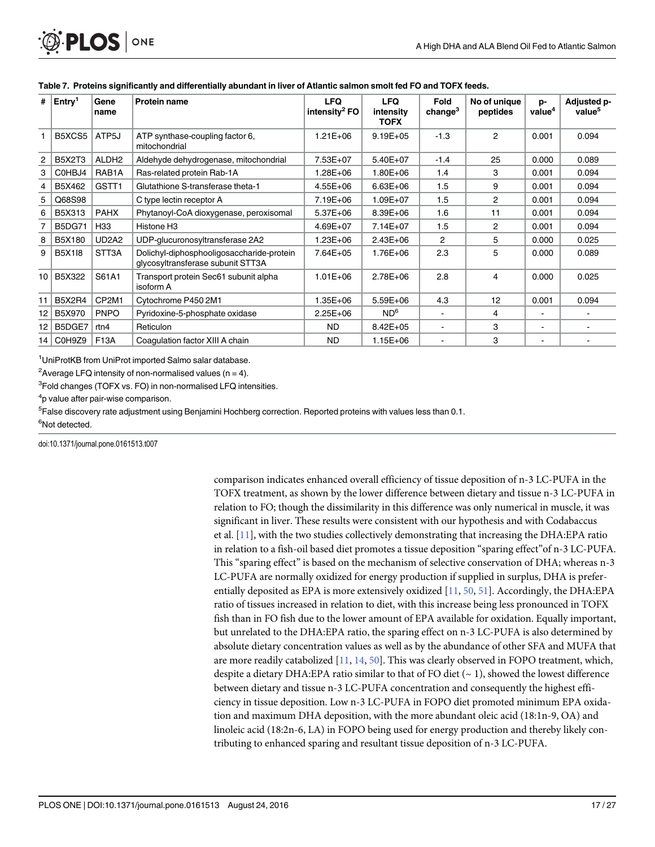| #                | $ $ Entry <sup>1</sup> | Gene<br>name                   | <b>Protein name</b>                                                            | <b>LFQ</b><br>intensity <sup>2</sup> FO | <b>LFQ</b><br>intensity<br><b>TOFX</b> | Fold<br>change <sup>3</sup> | No of unique<br>peptides | p-<br>value <sup>4</sup> | Adjusted p-<br>value <sup>5</sup> |
|------------------|------------------------|--------------------------------|--------------------------------------------------------------------------------|-----------------------------------------|----------------------------------------|-----------------------------|--------------------------|--------------------------|-----------------------------------|
|                  | B5XCS5                 | ATP5J                          | ATP synthase-coupling factor 6,<br>mitochondrial                               | $1.21E + 06$                            | $9.19E + 05$                           | $-1.3$                      | $\overline{2}$           | 0.001                    | 0.094                             |
| $\overline{2}$   | <b>B5X2T3</b>          | ALDH <sub>2</sub>              | Aldehyde dehydrogenase, mitochondrial                                          | 7.53E+07                                | 5.40E+07                               | $-1.4$                      | 25                       | 0.000                    | 0.089                             |
| 3                | C0HBJ4                 | RAB <sub>1</sub> A             | Ras-related protein Rab-1A                                                     | $1.28E + 06$                            | $1.80E + 06$                           | 1.4                         | 3                        | 0.001                    | 0.094                             |
| 4                | B5X462                 | GSTT <sub>1</sub>              | Glutathione S-transferase theta-1                                              | $4.55E + 06$                            | $6.63E + 06$                           | 1.5                         | 9                        | 0.001                    | 0.094                             |
| 5                | Q68S98                 |                                | C type lectin receptor A                                                       | 7.19E+06                                | 1.09E+07                               | 1.5                         | 2                        | 0.001                    | 0.094                             |
| 6                | B5X313                 | <b>PAHX</b>                    | Phytanoyl-CoA dioxygenase, peroxisomal                                         | 5.37E+06                                | 8.39E+06                               | 1.6                         | 11                       | 0.001                    | 0.094                             |
|                  | <b>B5DG71</b>          | H33                            | Histone H <sub>3</sub>                                                         | 4.69E+07                                | $7.14E + 07$                           | 1.5                         | 2                        | 0.001                    | 0.094                             |
| 8                | B5X180                 | UD <sub>2</sub> A <sub>2</sub> | UDP-glucuronosyltransferase 2A2                                                | $1.23E + 06$                            | $2.43E + 06$                           | 2                           | 5                        | 0.000                    | 0.025                             |
| 9                | <b>B5X118</b>          | STT3A                          | Dolichyl-diphosphooligosaccharide-protein<br>glycosyltransferase subunit STT3A | 7.64E+05                                | 1.76E+06                               | 2.3                         | 5                        | 0.000                    | 0.089                             |
| 10 <sup>10</sup> | B5X322                 | S61A1                          | Transport protein Sec61 subunit alpha<br>isoform A                             | $1.01E + 06$                            | 2.78E+06                               | 2.8                         | 4                        | 0.000                    | 0.025                             |
| 11               | <b>B5X2R4</b>          | CP2M1                          | Cytochrome P450 2M1                                                            | $1.35E + 06$                            | 5.59E+06                               | 4.3                         | 12                       | 0.001                    | 0.094                             |
| 12               | B5X970                 | <b>PNPO</b>                    | Pyridoxine-5-phosphate oxidase                                                 | $2.25E + 06$                            | ND <sup>6</sup>                        | $\blacksquare$              | 4                        | ٠                        |                                   |
| 12               | B5DGE7                 | rtn4                           | Reticulon                                                                      | <b>ND</b>                               | $8.42E + 05$                           | $\overline{\phantom{a}}$    | 3                        | $\blacksquare$           |                                   |
|                  | 14   C0H9Z9            | <b>F13A</b>                    | Coaquiation factor XIII A chain                                                | <b>ND</b>                               | $1.15E + 06$                           | $\blacksquare$              | 3                        | ۰                        |                                   |

#### <span id="page-16-0"></span>[Table 7.](#page-13-0) Proteins significantly and differentially abundant in liver of Atlantic salmon smolt fed FO and TOFX feeds.

<sup>1</sup>UniProtKB from UniProt imported Salmo salar database.

<sup>2</sup> Average LFQ intensity of non-normalised values (n = 4).

<sup>3</sup>Fold changes (TOFX vs. FO) in non-normalised LFQ intensities.

<sup>4</sup>p value after pair-wise comparison.

<sup>5</sup>False discovery rate adjustment using Benjamini Hochberg correction. Reported proteins with values less than 0.1.

<sup>6</sup>Not detected.

doi:10.1371/journal.pone.0161513.t007

comparison indicates enhanced overall efficiency of tissue deposition of n-3 LC-PUFA in the TOFX treatment, as shown by the lower difference between dietary and tissue n-3 LC-PUFA in relation to FO; though the dissimilarity in this difference was only numerical in muscle, it was significant in liver. These results were consistent with our hypothesis and with Codabaccus et al. [\[11\]](#page-21-0), with the two studies collectively demonstrating that increasing the DHA:EPA ratio in relation to a fish-oil based diet promotes a tissue deposition "sparing effect"of n-3 LC-PUFA. This "sparing effect" is based on the mechanism of selective conservation of DHA; whereas n-3 LC-PUFA are normally oxidized for energy production if supplied in surplus, DHA is preferentially deposited as EPA is more extensively oxidized [\[11,](#page-21-0) [50,](#page-23-0) [51\]](#page-23-0). Accordingly, the DHA:EPA ratio of tissues increased in relation to diet, with this increase being less pronounced in TOFX fish than in FO fish due to the lower amount of EPA available for oxidation. Equally important, but unrelated to the DHA:EPA ratio, the sparing effect on n-3 LC-PUFA is also determined by absolute dietary concentration values as well as by the abundance of other SFA and MUFA that are more readily catabolized [\[11,](#page-21-0) [14,](#page-21-0) [50\]](#page-23-0). This was clearly observed in FOPO treatment, which, despite a dietary DHA:EPA ratio similar to that of FO diet  $(-1)$ , showed the lowest difference between dietary and tissue n-3 LC-PUFA concentration and consequently the highest efficiency in tissue deposition. Low n-3 LC-PUFA in FOPO diet promoted minimum EPA oxidation and maximum DHA deposition, with the more abundant oleic acid (18:1n-9, OA) and linoleic acid (18:2n-6, LA) in FOPO being used for energy production and thereby likely contributing to enhanced sparing and resultant tissue deposition of n-3 LC-PUFA.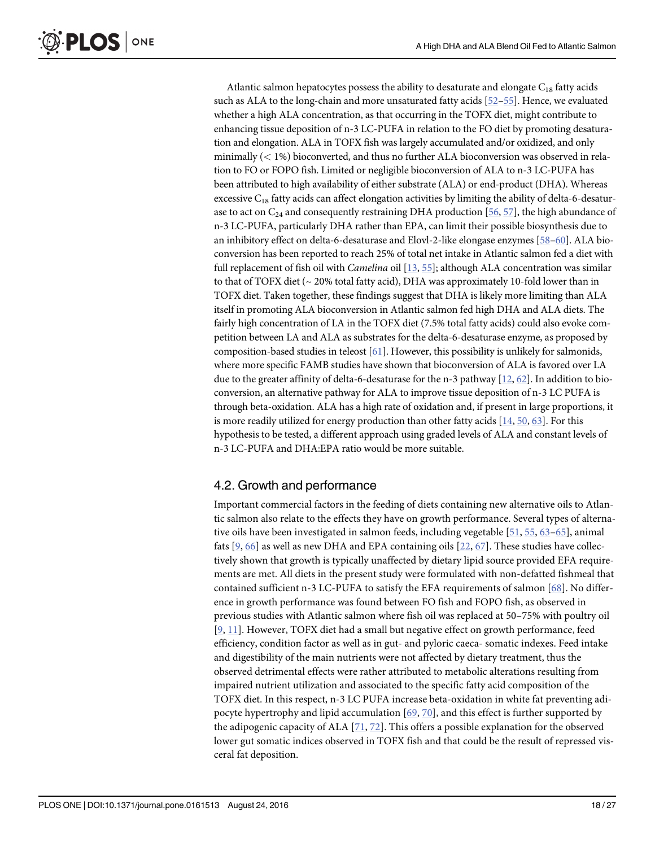<span id="page-17-0"></span>**PLOS I** ONE

> Atlantic salmon hepatocytes possess the ability to desaturate and elongate  $C_{18}$  fatty acids such as ALA to the long-chain and more unsaturated fatty acids [\[52](#page-23-0)–[55](#page-23-0)]. Hence, we evaluated whether a high ALA concentration, as that occurring in the TOFX diet, might contribute to enhancing tissue deposition of n-3 LC-PUFA in relation to the FO diet by promoting desaturation and elongation. ALA in TOFX fish was largely accumulated and/or oxidized, and only minimally  $(< 1\%)$  bioconverted, and thus no further ALA bioconversion was observed in relation to FO or FOPO fish. Limited or negligible bioconversion of ALA to n-3 LC-PUFA has been attributed to high availability of either substrate (ALA) or end-product (DHA). Whereas excessive  $C_{18}$  fatty acids can affect elongation activities by limiting the ability of delta-6-desaturase to act on  $C_{24}$  and consequently restraining DHA production [[56](#page-23-0), [57](#page-23-0)], the high abundance of n-3 LC-PUFA, particularly DHA rather than EPA, can limit their possible biosynthesis due to an inhibitory effect on delta-6-desaturase and Elovl-2-like elongase enzymes [[58](#page-24-0)–[60\]](#page-24-0). ALA bioconversion has been reported to reach 25% of total net intake in Atlantic salmon fed a diet with full replacement of fish oil with *Camelina* oil  $[13, 55]$  $[13, 55]$  $[13, 55]$  $[13, 55]$  $[13, 55]$ ; although ALA concentration was similar to that of TOFX diet ( $\sim$  20% total fatty acid), DHA was approximately 10-fold lower than in TOFX diet. Taken together, these findings suggest that DHA is likely more limiting than ALA itself in promoting ALA bioconversion in Atlantic salmon fed high DHA and ALA diets. The fairly high concentration of LA in the TOFX diet (7.5% total fatty acids) could also evoke competition between LA and ALA as substrates for the delta-6-desaturase enzyme, as proposed by composition-based studies in teleost  $[61]$ . However, this possibility is unlikely for salmonids, where more specific FAMB studies have shown that bioconversion of ALA is favored over LA due to the greater affinity of delta-6-desaturase for the n-3 pathway  $[12, 62]$  $[12, 62]$  $[12, 62]$ . In addition to bioconversion, an alternative pathway for ALA to improve tissue deposition of n-3 LC PUFA is through beta-oxidation. ALA has a high rate of oxidation and, if present in large proportions, it is more readily utilized for energy production than other fatty acids [[14](#page-21-0), [50](#page-23-0), [63\]](#page-24-0). For this hypothesis to be tested, a different approach using graded levels of ALA and constant levels of n-3 LC-PUFA and DHA:EPA ratio would be more suitable.

## 4.2. Growth and performance

Important commercial factors in the feeding of diets containing new alternative oils to Atlantic salmon also relate to the effects they have on growth performance. Several types of alterna-tive oils have been investigated in salmon feeds, including vegetable [\[51](#page-23-0), [55](#page-23-0), [63](#page-24-0)-[65](#page-24-0)], animal fats  $[9, 66]$  $[9, 66]$  $[9, 66]$  $[9, 66]$  $[9, 66]$  as well as new DHA and EPA containing oils  $[22, 67]$  $[22, 67]$  $[22, 67]$  $[22, 67]$ . These studies have collectively shown that growth is typically unaffected by dietary lipid source provided EFA requirements are met. All diets in the present study were formulated with non-defatted fishmeal that contained sufficient n-3 LC-PUFA to satisfy the EFA requirements of salmon [[68](#page-24-0)]. No difference in growth performance was found between FO fish and FOPO fish, as observed in previous studies with Atlantic salmon where fish oil was replaced at 50–75% with poultry oil [[9](#page-21-0), [11\]](#page-21-0). However, TOFX diet had a small but negative effect on growth performance, feed efficiency, condition factor as well as in gut- and pyloric caeca- somatic indexes. Feed intake and digestibility of the main nutrients were not affected by dietary treatment, thus the observed detrimental effects were rather attributed to metabolic alterations resulting from impaired nutrient utilization and associated to the specific fatty acid composition of the TOFX diet. In this respect, n-3 LC PUFA increase beta-oxidation in white fat preventing adipocyte hypertrophy and lipid accumulation  $[69, 70]$  $[69, 70]$  $[69, 70]$  $[69, 70]$ , and this effect is further supported by the adipogenic capacity of ALA [[71](#page-24-0), [72\]](#page-24-0). This offers a possible explanation for the observed lower gut somatic indices observed in TOFX fish and that could be the result of repressed visceral fat deposition.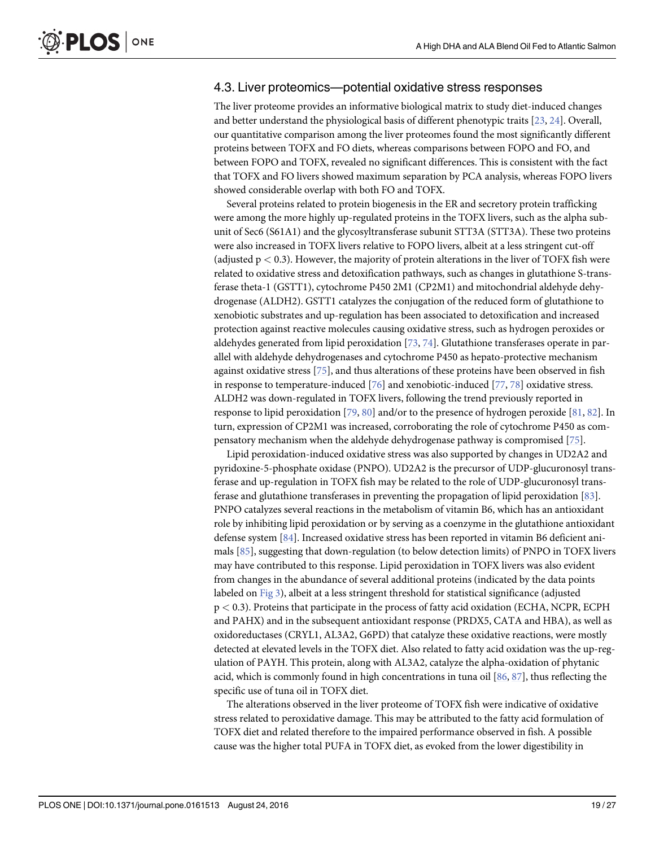#### <span id="page-18-0"></span>4.3. Liver proteomics—potential oxidative stress responses

The liver proteome provides an informative biological matrix to study diet-induced changes and better understand the physiological basis of different phenotypic traits [[23](#page-22-0), [24](#page-22-0)]. Overall, our quantitative comparison among the liver proteomes found the most significantly different proteins between TOFX and FO diets, whereas comparisons between FOPO and FO, and between FOPO and TOFX, revealed no significant differences. This is consistent with the fact that TOFX and FO livers showed maximum separation by PCA analysis, whereas FOPO livers showed considerable overlap with both FO and TOFX.

Several proteins related to protein biogenesis in the ER and secretory protein trafficking were among the more highly up-regulated proteins in the TOFX livers, such as the alpha subunit of Sec6 (S61A1) and the glycosyltransferase subunit STT3A (STT3A). These two proteins were also increased in TOFX livers relative to FOPO livers, albeit at a less stringent cut-off (adjusted  $p < 0.3$ ). However, the majority of protein alterations in the liver of TOFX fish were related to oxidative stress and detoxification pathways, such as changes in glutathione S-transferase theta-1 (GSTT1), cytochrome P450 2M1 (CP2M1) and mitochondrial aldehyde dehydrogenase (ALDH2). GSTT1 catalyzes the conjugation of the reduced form of glutathione to xenobiotic substrates and up-regulation has been associated to detoxification and increased protection against reactive molecules causing oxidative stress, such as hydrogen peroxides or aldehydes generated from lipid peroxidation [\[73,](#page-24-0) [74\]](#page-24-0). Glutathione transferases operate in parallel with aldehyde dehydrogenases and cytochrome P450 as hepato-protective mechanism against oxidative stress [\[75\]](#page-24-0), and thus alterations of these proteins have been observed in fish in response to temperature-induced  $[76]$  $[76]$  $[76]$  and xenobiotic-induced  $[77, 78]$  $[77, 78]$  $[77, 78]$  $[77, 78]$  $[77, 78]$  oxidative stress. ALDH2 was down-regulated in TOFX livers, following the trend previously reported in response to lipid peroxidation [\[79,](#page-25-0) [80\]](#page-25-0) and/or to the presence of hydrogen peroxide [\[81,](#page-25-0) [82\]](#page-25-0). In turn, expression of CP2M1 was increased, corroborating the role of cytochrome P450 as compensatory mechanism when the aldehyde dehydrogenase pathway is compromised [[75](#page-24-0)].

Lipid peroxidation-induced oxidative stress was also supported by changes in UD2A2 and pyridoxine-5-phosphate oxidase (PNPO). UD2A2 is the precursor of UDP-glucuronosyl transferase and up-regulation in TOFX fish may be related to the role of UDP-glucuronosyl transferase and glutathione transferases in preventing the propagation of lipid peroxidation [\[83](#page-25-0)]. PNPO catalyzes several reactions in the metabolism of vitamin B6, which has an antioxidant role by inhibiting lipid peroxidation or by serving as a coenzyme in the glutathione antioxidant defense system [[84](#page-25-0)]. Increased oxidative stress has been reported in vitamin B6 deficient animals [\[85\]](#page-25-0), suggesting that down-regulation (to below detection limits) of PNPO in TOFX livers may have contributed to this response. Lipid peroxidation in TOFX livers was also evident from changes in the abundance of several additional proteins (indicated by the data points labeled on [Fig 3](#page-15-0)), albeit at a less stringent threshold for statistical significance (adjusted p < 0.3). Proteins that participate in the process of fatty acid oxidation (ECHA, NCPR, ECPH and PAHX) and in the subsequent antioxidant response (PRDX5, CATA and HBA), as well as oxidoreductases (CRYL1, AL3A2, G6PD) that catalyze these oxidative reactions, were mostly detected at elevated levels in the TOFX diet. Also related to fatty acid oxidation was the up-regulation of PAYH. This protein, along with AL3A2, catalyze the alpha-oxidation of phytanic acid, which is commonly found in high concentrations in tuna oil  $[86, 87]$  $[86, 87]$  $[86, 87]$  $[86, 87]$  $[86, 87]$ , thus reflecting the specific use of tuna oil in TOFX diet.

The alterations observed in the liver proteome of TOFX fish were indicative of oxidative stress related to peroxidative damage. This may be attributed to the fatty acid formulation of TOFX diet and related therefore to the impaired performance observed in fish. A possible cause was the higher total PUFA in TOFX diet, as evoked from the lower digestibility in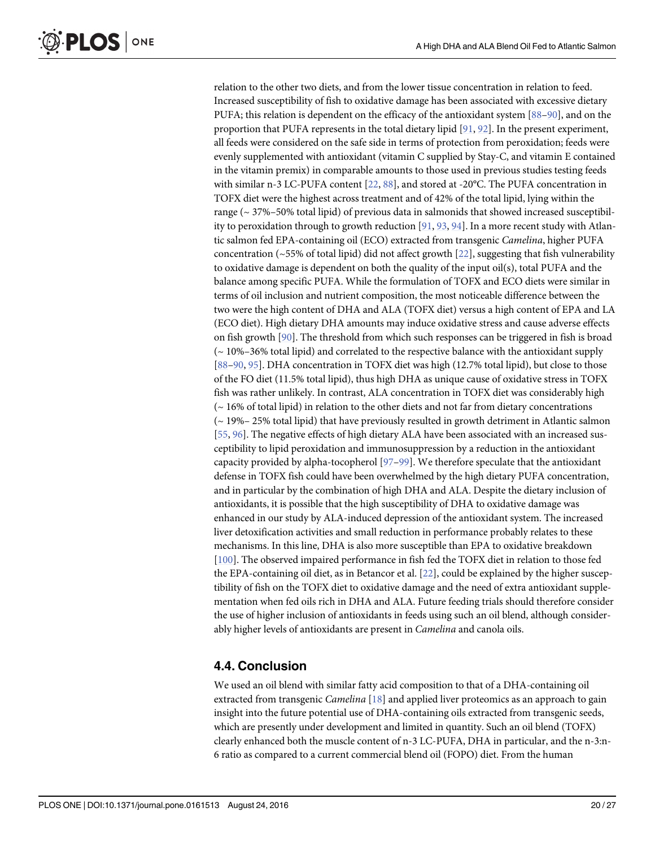<span id="page-19-0"></span>relation to the other two diets, and from the lower tissue concentration in relation to feed. Increased susceptibility of fish to oxidative damage has been associated with excessive dietary PUFA; this relation is dependent on the efficacy of the antioxidant system [[88](#page-25-0)–[90](#page-25-0)], and on the proportion that PUFA represents in the total dietary lipid [[91](#page-25-0), [92](#page-25-0)]. In the present experiment, all feeds were considered on the safe side in terms of protection from peroxidation; feeds were evenly supplemented with antioxidant (vitamin C supplied by Stay-C, and vitamin E contained in the vitamin premix) in comparable amounts to those used in previous studies testing feeds with similar n-3 LC-PUFA content [\[22,](#page-22-0) [88\]](#page-25-0), and stored at -20°C. The PUFA concentration in TOFX diet were the highest across treatment and of 42% of the total lipid, lying within the range ( $\sim$  37%–50% total lipid) of previous data in salmonids that showed increased susceptibility to peroxidation through to growth reduction  $[91, 93, 94]$  $[91, 93, 94]$  $[91, 93, 94]$  $[91, 93, 94]$  $[91, 93, 94]$ . In a more recent study with Atlantic salmon fed EPA-containing oil (ECO) extracted from transgenic Camelina, higher PUFA concentration ( $\sim$ 55% of total lipid) did not affect growth [[22](#page-22-0)], suggesting that fish vulnerability to oxidative damage is dependent on both the quality of the input oil(s), total PUFA and the balance among specific PUFA. While the formulation of TOFX and ECO diets were similar in terms of oil inclusion and nutrient composition, the most noticeable difference between the two were the high content of DHA and ALA (TOFX diet) versus a high content of EPA and LA (ECO diet). High dietary DHA amounts may induce oxidative stress and cause adverse effects on fish growth [\[90\]](#page-25-0). The threshold from which such responses can be triggered in fish is broad (~ 10%–36% total lipid) and correlated to the respective balance with the antioxidant supply [\[88](#page-25-0)–[90,](#page-25-0) [95\]](#page-25-0). DHA concentration in TOFX diet was high (12.7% total lipid), but close to those of the FO diet (11.5% total lipid), thus high DHA as unique cause of oxidative stress in TOFX fish was rather unlikely. In contrast, ALA concentration in TOFX diet was considerably high  $\sim$  16% of total lipid) in relation to the other diets and not far from dietary concentrations (~ 19%– 25% total lipid) that have previously resulted in growth detriment in Atlantic salmon [\[55](#page-23-0), [96\]](#page-25-0). The negative effects of high dietary ALA have been associated with an increased susceptibility to lipid peroxidation and immunosuppression by a reduction in the antioxidant capacity provided by alpha-tocopherol [\[97](#page-25-0)–[99\]](#page-26-0). We therefore speculate that the antioxidant defense in TOFX fish could have been overwhelmed by the high dietary PUFA concentration, and in particular by the combination of high DHA and ALA. Despite the dietary inclusion of antioxidants, it is possible that the high susceptibility of DHA to oxidative damage was enhanced in our study by ALA-induced depression of the antioxidant system. The increased liver detoxification activities and small reduction in performance probably relates to these mechanisms. In this line, DHA is also more susceptible than EPA to oxidative breakdown [\[100\]](#page-26-0). The observed impaired performance in fish fed the TOFX diet in relation to those fed the EPA-containing oil diet, as in Betancor et al. [\[22\]](#page-22-0), could be explained by the higher susceptibility of fish on the TOFX diet to oxidative damage and the need of extra antioxidant supplementation when fed oils rich in DHA and ALA. Future feeding trials should therefore consider the use of higher inclusion of antioxidants in feeds using such an oil blend, although considerably higher levels of antioxidants are present in Camelina and canola oils.

## 4.4. Conclusion

We used an oil blend with similar fatty acid composition to that of a DHA-containing oil extracted from transgenic *Camelina* [[18](#page-21-0)] and applied liver proteomics as an approach to gain insight into the future potential use of DHA-containing oils extracted from transgenic seeds, which are presently under development and limited in quantity. Such an oil blend (TOFX) clearly enhanced both the muscle content of n-3 LC-PUFA, DHA in particular, and the n-3:n-6 ratio as compared to a current commercial blend oil (FOPO) diet. From the human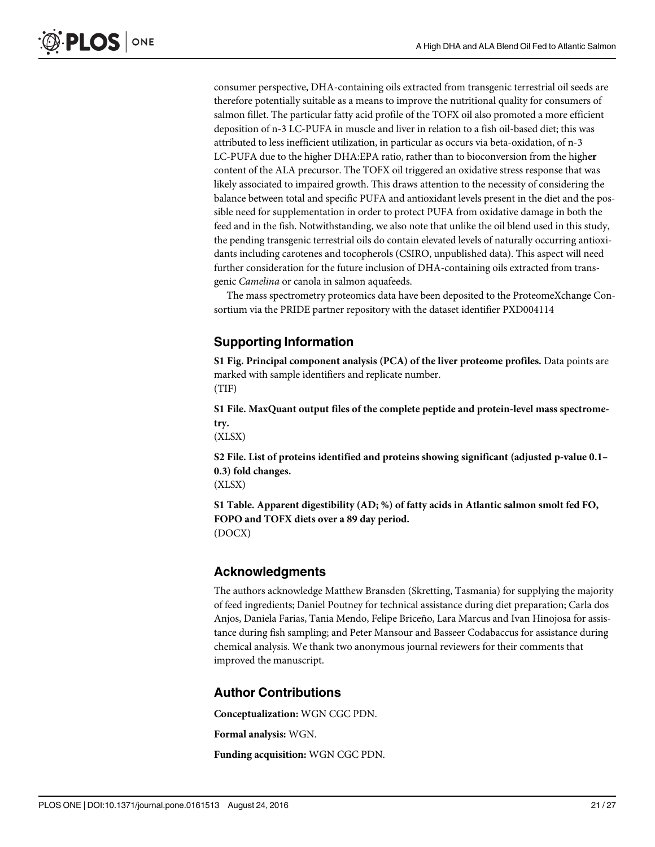<span id="page-20-0"></span>consumer perspective, DHA-containing oils extracted from transgenic terrestrial oil seeds are therefore potentially suitable as a means to improve the nutritional quality for consumers of salmon fillet. The particular fatty acid profile of the TOFX oil also promoted a more efficient deposition of n-3 LC-PUFA in muscle and liver in relation to a fish oil-based diet; this was attributed to less inefficient utilization, in particular as occurs via beta-oxidation, of n-3 LC-PUFA due to the higher DHA:EPA ratio, rather than to bioconversion from the higher content of the ALA precursor. The TOFX oil triggered an oxidative stress response that was likely associated to impaired growth. This draws attention to the necessity of considering the balance between total and specific PUFA and antioxidant levels present in the diet and the possible need for supplementation in order to protect PUFA from oxidative damage in both the feed and in the fish. Notwithstanding, we also note that unlike the oil blend used in this study, the pending transgenic terrestrial oils do contain elevated levels of naturally occurring antioxidants including carotenes and tocopherols (CSIRO, unpublished data). This aspect will need further consideration for the future inclusion of DHA-containing oils extracted from transgenic Camelina or canola in salmon aquafeeds.

The mass spectrometry proteomics data have been deposited to the ProteomeXchange Consortium via the PRIDE partner repository with the dataset identifier PXD004114

## Supporting Information

[S1 Fig.](http://www.plosone.org/article/fetchSingleRepresentation.action?uri=info:doi/10.1371/journal.pone.0161513.s001) Principal component analysis (PCA) of the liver proteome profiles. Data points are marked with sample identifiers and replicate number. (TIF)

[S1 File.](http://www.plosone.org/article/fetchSingleRepresentation.action?uri=info:doi/10.1371/journal.pone.0161513.s002) MaxQuant output files of the complete peptide and protein-level mass spectrometry.

(XLSX)

[S2 File.](http://www.plosone.org/article/fetchSingleRepresentation.action?uri=info:doi/10.1371/journal.pone.0161513.s003) List of proteins identified and proteins showing significant (adjusted p-value 0.1– 0.3) fold changes.

(XLSX)

[S1 Table](http://www.plosone.org/article/fetchSingleRepresentation.action?uri=info:doi/10.1371/journal.pone.0161513.s004). Apparent digestibility (AD; %) of fatty acids in Atlantic salmon smolt fed FO, FOPO and TOFX diets over a 89 day period. (DOCX)

## Acknowledgments

The authors acknowledge Matthew Bransden (Skretting, Tasmania) for supplying the majority of feed ingredients; Daniel Poutney for technical assistance during diet preparation; Carla dos Anjos, Daniela Farias, Tania Mendo, Felipe Briceño, Lara Marcus and Ivan Hinojosa for assistance during fish sampling; and Peter Mansour and Basseer Codabaccus for assistance during chemical analysis. We thank two anonymous journal reviewers for their comments that improved the manuscript.

## Author Contributions

Conceptualization: WGN CGC PDN.

Formal analysis: WGN.

Funding acquisition: WGN CGC PDN.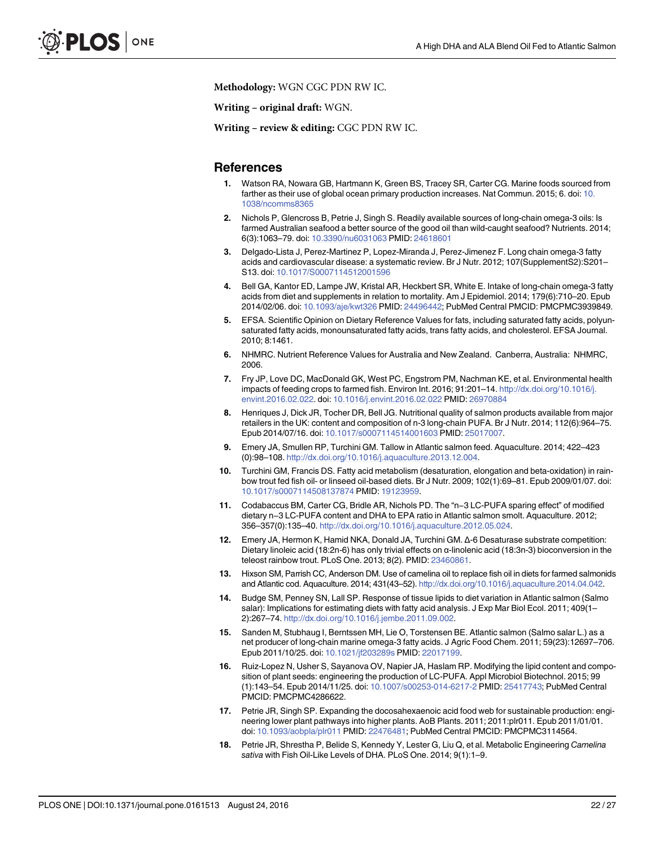<span id="page-21-0"></span>Methodology: WGN CGC PDN RW IC.

Writing – original draft: WGN.

Writing – review & editing: CGC PDN RW IC.

#### **References**

- [1.](#page-1-0) Watson RA, Nowara GB, Hartmann K, Green BS, Tracey SR, Carter CG. Marine foods sourced from farther as their use of global ocean primary production increases. Nat Commun. 2015; 6. doi: [10.](http://dx.doi.org/10.1038/ncomms8365) [1038/ncomms8365](http://dx.doi.org/10.1038/ncomms8365)
- [2.](#page-1-0) Nichols P, Glencross B, Petrie J, Singh S. Readily available sources of long-chain omega-3 oils: Is farmed Australian seafood a better source of the good oil than wild-caught seafood? Nutrients. 2014; 6(3):1063–79. doi: [10.3390/nu6031063](http://dx.doi.org/10.3390/nu6031063) PMID: [24618601](http://www.ncbi.nlm.nih.gov/pubmed/24618601)
- [3.](#page-1-0) Delgado-Lista J, Perez-Martinez P, Lopez-Miranda J, Perez-Jimenez F. Long chain omega-3 fatty acids and cardiovascular disease: a systematic review. Br J Nutr. 2012; 107(SupplementS2):S201– S13. doi: [10.1017/S0007114512001596](http://dx.doi.org/10.1017/S0007114512001596)
- [4.](#page-1-0) Bell GA, Kantor ED, Lampe JW, Kristal AR, Heckbert SR, White E. Intake of long-chain omega-3 fatty acids from diet and supplements in relation to mortality. Am J Epidemiol. 2014; 179(6):710–20. Epub 2014/02/06. doi: [10.1093/aje/kwt326](http://dx.doi.org/10.1093/aje/kwt326) PMID: [24496442](http://www.ncbi.nlm.nih.gov/pubmed/24496442); PubMed Central PMCID: PMCPMC3939849.
- [5.](#page-1-0) EFSA. Scientific Opinion on Dietary Reference Values for fats, including saturated fatty acids, polyunsaturated fatty acids, monounsaturated fatty acids, trans fatty acids, and cholesterol. EFSA Journal. 2010; 8:1461.
- [6.](#page-1-0) NHMRC. Nutrient Reference Values for Australia and New Zealand. Canberra, Australia: NHMRC, 2006.
- [7.](#page-1-0) Fry JP, Love DC, MacDonald GK, West PC, Engstrom PM, Nachman KE, et al. Environmental health impacts of feeding crops to farmed fish. Environ Int. 2016; 91:201–14. [http://dx.doi.org/10.1016/j.](http://dx.doi.org/10.1016/j.envint.2016.02.022) [envint.2016.02.022](http://dx.doi.org/10.1016/j.envint.2016.02.022). doi: [10.1016/j.envint.2016.02.022](http://dx.doi.org/10.1016/j.envint.2016.02.022) PMID: [26970884](http://www.ncbi.nlm.nih.gov/pubmed/26970884)
- [8.](#page-1-0) Henriques J, Dick JR, Tocher DR, Bell JG. Nutritional quality of salmon products available from major retailers in the UK: content and composition of n-3 long-chain PUFA. Br J Nutr. 2014; 112(6):964–75. Epub 2014/07/16. doi: [10.1017/s0007114514001603](http://dx.doi.org/10.1017/s0007114514001603) PMID: [25017007](http://www.ncbi.nlm.nih.gov/pubmed/25017007).
- [9.](#page-1-0) Emery JA, Smullen RP, Turchini GM. Tallow in Atlantic salmon feed. Aquaculture. 2014; 422–423 (0):98–108. <http://dx.doi.org/10.1016/j.aquaculture.2013.12.004>.
- [10.](#page-1-0) Turchini GM, Francis DS. Fatty acid metabolism (desaturation, elongation and beta-oxidation) in rain-bow trout fed fish oil- or linseed oil-based diets. Br J Nutr. 2009; 102(1):69–81. Epub 2009/01/07. doi:<br>10.1017/s0007114508137874 PMID: 19123959.<br>[11.](#page-1-0) Codabaccus BM, Carter CG, Bridle AR, Nichols PD. The "n−3 LC-PUFA spar [10.1017/s0007114508137874](http://dx.doi.org/10.1017/s0007114508137874) PMID: [19123959.](http://www.ncbi.nlm.nih.gov/pubmed/19123959)
- Codabaccus BM, Carter CG, Bridle AR, Nichols PD. The "n−3 LC-PUFA sparing effect" of modified dietary n−3 LC-PUFA content and DHA to EPA ratio in Atlantic salmon smolt. Aquaculture. 2012; 356–357(0):135–40. <http://dx.doi.org/10.1016/j.aquaculture.2012.05.024>.
- [12.](#page-1-0) Emery JA, Hermon K, Hamid NKA, Donald JA, Turchini GM. Δ-6 Desaturase substrate competition: Dietary linoleic acid (18:2n-6) has only trivial effects on α-linolenic acid (18:3n-3) bioconversion in the teleost rainbow trout. PLoS One. 2013; 8(2). PMID: [23460861](http://www.ncbi.nlm.nih.gov/pubmed/23460861).
- [13.](#page-1-0) Hixson SM, Parrish CC, Anderson DM. Use of camelina oil to replace fish oil in diets for farmed salmonids and Atlantic cod. Aquaculture. 2014; 431(43–52). [http://dx.doi.org/10.1016/j.aquaculture.2014.04.042.](http://dx.doi.org/10.1016/j.aquaculture.2014.04.042)
- [14.](#page-1-0) Budge SM, Penney SN, Lall SP. Response of tissue lipids to diet variation in Atlantic salmon (Salmo salar): Implications for estimating diets with fatty acid analysis. J Exp Mar Biol Ecol. 2011; 409(1-2):267–74. <http://dx.doi.org/10.1016/j.jembe.2011.09.002>.
- [15.](#page-1-0) Sanden M, Stubhaug I, Berntssen MH, Lie O, Torstensen BE. Atlantic salmon (Salmo salar L.) as a net producer of long-chain marine omega-3 fatty acids. J Agric Food Chem. 2011; 59(23):12697–706. Epub 2011/10/25. doi: [10.1021/jf203289s](http://dx.doi.org/10.1021/jf203289s) PMID: [22017199.](http://www.ncbi.nlm.nih.gov/pubmed/22017199)
- [16.](#page-1-0) Ruiz-Lopez N, Usher S, Sayanova OV, Napier JA, Haslam RP. Modifying the lipid content and composition of plant seeds: engineering the production of LC-PUFA. Appl Microbiol Biotechnol. 2015; 99 (1):143–54. Epub 2014/11/25. doi: [10.1007/s00253-014-6217-2](http://dx.doi.org/10.1007/s00253-014-6217-2) PMID: [25417743;](http://www.ncbi.nlm.nih.gov/pubmed/25417743) PubMed Central PMCID: PMCPMC4286622.
- [17.](#page-1-0) Petrie JR, Singh SP. Expanding the docosahexaenoic acid food web for sustainable production: engineering lower plant pathways into higher plants. AoB Plants. 2011; 2011:plr011. Epub 2011/01/01. doi: [10.1093/aobpla/plr011](http://dx.doi.org/10.1093/aobpla/plr011) PMID: [22476481;](http://www.ncbi.nlm.nih.gov/pubmed/22476481) PubMed Central PMCID: PMCPMC3114564.
- [18.](#page-1-0) Petrie JR, Shrestha P, Belide S, Kennedy Y, Lester G, Liu Q, et al. Metabolic Engineering Camelina sativa with Fish Oil-Like Levels of DHA. PLoS One. 2014; 9(1):1–9.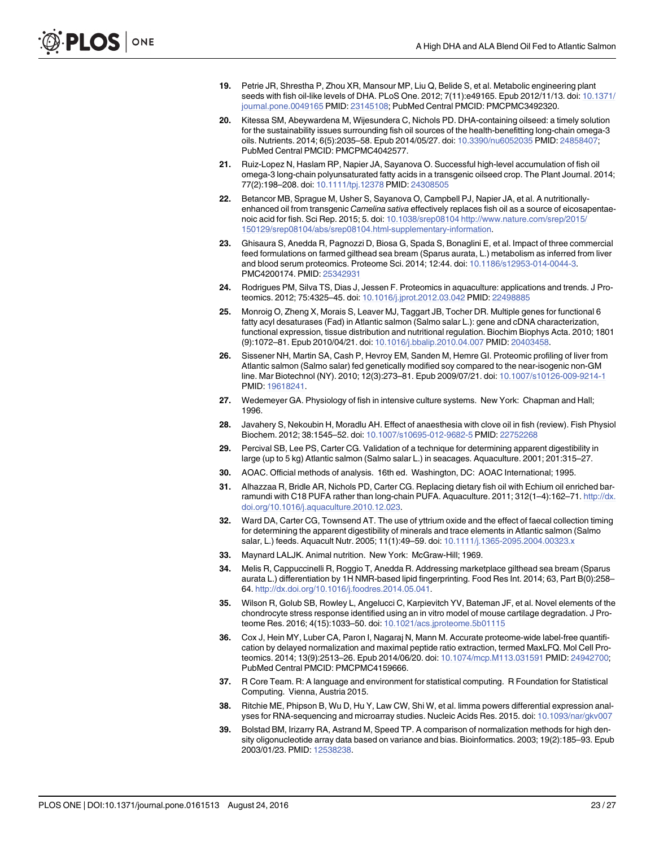- <span id="page-22-0"></span>[19.](#page-1-0) Petrie JR, Shrestha P, Zhou XR, Mansour MP, Liu Q, Belide S, et al. Metabolic engineering plant seeds with fish oil-like levels of DHA. PLoS One. 2012; 7(11):e49165. Epub 2012/11/13. doi: [10.1371/](http://dx.doi.org/10.1371/journal.pone.0049165) [journal.pone.0049165](http://dx.doi.org/10.1371/journal.pone.0049165) PMID: [23145108](http://www.ncbi.nlm.nih.gov/pubmed/23145108); PubMed Central PMCID: PMCPMC3492320.
- [20.](#page-2-0) Kitessa SM, Abeywardena M, Wijesundera C, Nichols PD. DHA-containing oilseed: a timely solution for the sustainability issues surrounding fish oil sources of the health-benefitting long-chain omega-3 oils. Nutrients. 2014; 6(5):2035–58. Epub 2014/05/27. doi: [10.3390/nu6052035](http://dx.doi.org/10.3390/nu6052035) PMID: [24858407;](http://www.ncbi.nlm.nih.gov/pubmed/24858407) PubMed Central PMCID: PMCPMC4042577.
- [21.](#page-2-0) Ruiz-Lopez N, Haslam RP, Napier JA, Sayanova O. Successful high-level accumulation of fish oil omega-3 long-chain polyunsaturated fatty acids in a transgenic oilseed crop. The Plant Journal. 2014; 77(2):198–208. doi: [10.1111/tpj.12378](http://dx.doi.org/10.1111/tpj.12378) PMID: [24308505](http://www.ncbi.nlm.nih.gov/pubmed/24308505)
- [22.](#page-2-0) Betancor MB, Sprague M, Usher S, Sayanova O, Campbell PJ, Napier JA, et al. A nutritionallyenhanced oil from transgenic Camelina sativa effectively replaces fish oil as a source of eicosapentaenoic acid for fish. Sci Rep. 2015; 5. doi: [10.1038/srep08104](http://dx.doi.org/10.1038/srep08104) [http://www.nature.com/srep/2015/](http://www.nature.com/srep/2015/150129/srep08104/abs/srep08104.html-supplementary-information) [150129/srep08104/abs/srep08104.html-supplementary-information](http://www.nature.com/srep/2015/150129/srep08104/abs/srep08104.html-supplementary-information).
- [23.](#page-2-0) Ghisaura S, Anedda R, Pagnozzi D, Biosa G, Spada S, Bonaglini E, et al. Impact of three commercial feed formulations on farmed gilthead sea bream (Sparus aurata, L.) metabolism as inferred from liver and blood serum proteomics. Proteome Sci. 2014; 12:44. doi: [10.1186/s12953-014-0044-3.](http://dx.doi.org/10.1186/s12953-014-0044-3) PMC4200174. PMID: [25342931](http://www.ncbi.nlm.nih.gov/pubmed/25342931)
- [24.](#page-2-0) Rodrigues PM, Silva TS, Dias J, Jessen F. Proteomics in aquaculture: applications and trends. J Pro-teomics. 2012; 75:4325-45. doi: [10.1016/j.jprot.2012.03.042](http://dx.doi.org/10.1016/j.jprot.2012.03.042) PMID: [22498885](http://www.ncbi.nlm.nih.gov/pubmed/22498885)
- [25.](#page-2-0) Monroig O, Zheng X, Morais S, Leaver MJ, Taggart JB, Tocher DR. Multiple genes for functional 6 fatty acyl desaturases (Fad) in Atlantic salmon (Salmo salar L.): gene and cDNA characterization, functional expression, tissue distribution and nutritional regulation. Biochim Biophys Acta. 2010; 1801 (9):1072–81. Epub 2010/04/21. doi: [10.1016/j.bbalip.2010.04.007](http://dx.doi.org/10.1016/j.bbalip.2010.04.007) PMID: [20403458](http://www.ncbi.nlm.nih.gov/pubmed/20403458).
- [26.](#page-2-0) Sissener NH, Martin SA, Cash P, Hevroy EM, Sanden M, Hemre GI. Proteomic profiling of liver from Atlantic salmon (Salmo salar) fed genetically modified soy compared to the near-isogenic non-GM line. Mar Biotechnol (NY). 2010; 12(3):273–81. Epub 2009/07/21. doi: [10.1007/s10126-009-9214-1](http://dx.doi.org/10.1007/s10126-009-9214-1) PMID: [19618241.](http://www.ncbi.nlm.nih.gov/pubmed/19618241)
- [27.](#page-3-0) Wedemeyer GA. Physiology of fish in intensive culture systems. New York: Chapman and Hall; 1996.
- [28.](#page-4-0) Javahery S, Nekoubin H, Moradlu AH. Effect of anaesthesia with clove oil in fish (review). Fish Physiol Biochem. 2012; 38:1545–52. doi: [10.1007/s10695-012-9682-5](http://dx.doi.org/10.1007/s10695-012-9682-5) PMID: [22752268](http://www.ncbi.nlm.nih.gov/pubmed/22752268)
- [29.](#page-4-0) Percival SB, Lee PS, Carter CG. Validation of a technique for determining apparent digestibility in large (up to 5 kg) Atlantic salmon (Salmo salar L.) in seacages. Aquaculture. 2001; 201:315–27.
- [30.](#page-4-0) AOAC. Official methods of analysis. 16th ed. Washington, DC: AOAC International; 1995.
- [31.](#page-4-0) Alhazzaa R, Bridle AR, Nichols PD, Carter CG. Replacing dietary fish oil with Echium oil enriched barramundi with C18 PUFA rather than long-chain PUFA. Aquaculture. 2011; 312(1–4):162–71. [http://dx.](http://dx.doi.org/10.1016/j.aquaculture.2010.12.023) [doi.org/10.1016/j.aquaculture.2010.12.023](http://dx.doi.org/10.1016/j.aquaculture.2010.12.023).
- [32.](#page-5-0) Ward DA, Carter CG, Townsend AT. The use of yttrium oxide and the effect of faecal collection timing for determining the apparent digestibility of minerals and trace elements in Atlantic salmon (Salmo salar, L.) feeds. Aquacult Nutr. 2005; 11(1):49–59. doi: [10.1111/j.1365-2095.2004.00323.x](http://dx.doi.org/10.1111/j.1365-2095.2004.00323.x)
- [33.](#page-5-0) Maynard LALJK. Animal nutrition. New York: McGraw-Hill; 1969.
- [34.](#page-5-0) Melis R, Cappuccinelli R, Roggio T, Anedda R. Addressing marketplace gilthead sea bream (Sparus aurata L.) differentiation by 1H NMR-based lipid fingerprinting. Food Res Int. 2014; 63, Part B(0):258– 64. <http://dx.doi.org/10.1016/j.foodres.2014.05.041>.
- [35.](#page-5-0) Wilson R, Golub SB, Rowley L, Angelucci C, Karpievitch YV, Bateman JF, et al. Novel elements of the chondrocyte stress response identified using an in vitro model of mouse cartilage degradation. J Proteome Res. 2016; 4(15):1033–50. doi: [10.1021/acs.jproteome.5b01115](http://dx.doi.org/10.1021/acs.jproteome.5b01115)
- [36.](#page-6-0) Cox J, Hein MY, Luber CA, Paron I, Nagaraj N, Mann M. Accurate proteome-wide label-free quantification by delayed normalization and maximal peptide ratio extraction, termed MaxLFQ. Mol Cell Proteomics. 2014; 13(9):2513–26. Epub 2014/06/20. doi: [10.1074/mcp.M113.031591](http://dx.doi.org/10.1074/mcp.M113.031591) PMID: [24942700](http://www.ncbi.nlm.nih.gov/pubmed/24942700); PubMed Central PMCID: PMCPMC4159666.
- [37.](#page-6-0) R Core Team. R: A language and environment for statistical computing. R Foundation for Statistical Computing. Vienna, Austria 2015.
- [38.](#page-6-0) Ritchie ME, Phipson B, Wu D, Hu Y, Law CW, Shi W, et al. limma powers differential expression analyses for RNA-sequencing and microarray studies. Nucleic Acids Res. 2015. doi: [10.1093/nar/gkv007](http://dx.doi.org/10.1093/nar/gkv007)
- [39.](#page-6-0) Bolstad BM, Irizarry RA, Astrand M, Speed TP. A comparison of normalization methods for high density oligonucleotide array data based on variance and bias. Bioinformatics. 2003; 19(2):185–93. Epub 2003/01/23. PMID: [12538238](http://www.ncbi.nlm.nih.gov/pubmed/12538238).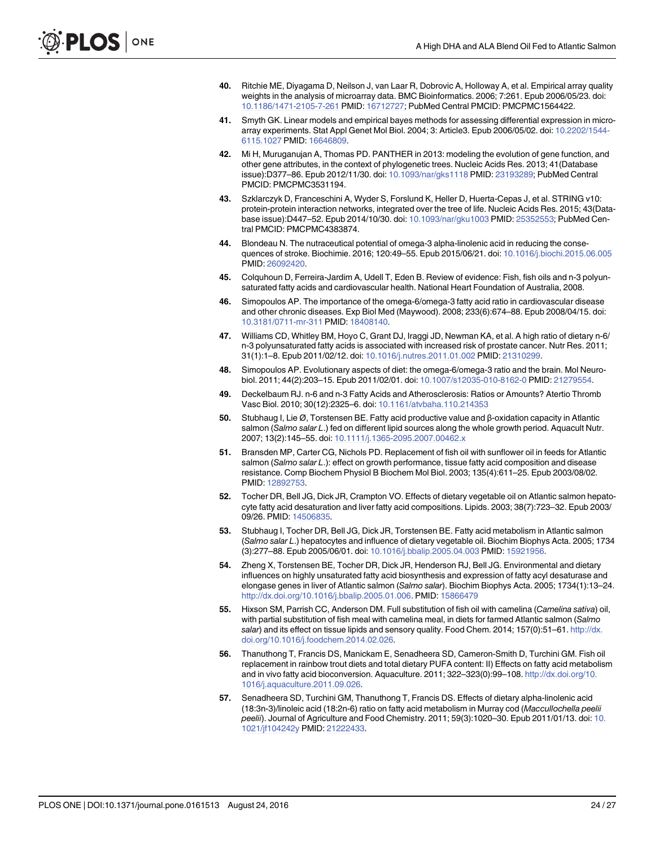- <span id="page-23-0"></span>[40.](#page-6-0) Ritchie ME, Diyagama D, Neilson J, van Laar R, Dobrovic A, Holloway A, et al. Empirical array quality weights in the analysis of microarray data. BMC Bioinformatics. 2006; 7:261. Epub 2006/05/23. doi: [10.1186/1471-2105-7-261](http://dx.doi.org/10.1186/1471-2105-7-261) PMID: [16712727;](http://www.ncbi.nlm.nih.gov/pubmed/16712727) PubMed Central PMCID: PMCPMC1564422.
- [41.](#page-6-0) Smyth GK. Linear models and empirical bayes methods for assessing differential expression in microarray experiments. Stat Appl Genet Mol Biol. 2004; 3: Article3. Epub 2006/05/02. doi: [10.2202/1544-](http://dx.doi.org/10.2202/1544-6115.1027) [6115.1027](http://dx.doi.org/10.2202/1544-6115.1027) PMID: [16646809](http://www.ncbi.nlm.nih.gov/pubmed/16646809).
- [42.](#page-7-0) Mi H, Muruganujan A, Thomas PD. PANTHER in 2013: modeling the evolution of gene function, and other gene attributes, in the context of phylogenetic trees. Nucleic Acids Res. 2013; 41(Database issue):D377–86. Epub 2012/11/30. doi: [10.1093/nar/gks1118](http://dx.doi.org/10.1093/nar/gks1118) PMID: [23193289;](http://www.ncbi.nlm.nih.gov/pubmed/23193289) PubMed Central PMCID: PMCPMC3531194.
- [43.](#page-7-0) Szklarczyk D, Franceschini A, Wyder S, Forslund K, Heller D, Huerta-Cepas J, et al. STRING v10: protein-protein interaction networks, integrated over the tree of life. Nucleic Acids Res. 2015; 43(Database issue):D447–52. Epub 2014/10/30. doi: [10.1093/nar/gku1003](http://dx.doi.org/10.1093/nar/gku1003) PMID: [25352553;](http://www.ncbi.nlm.nih.gov/pubmed/25352553) PubMed Central PMCID: PMCPMC4383874.
- [44.](#page-14-0) Blondeau N. The nutraceutical potential of omega-3 alpha-linolenic acid in reducing the consequences of stroke. Biochimie. 2016; 120:49–55. Epub 2015/06/21. doi: [10.1016/j.biochi.2015.06.005](http://dx.doi.org/10.1016/j.biochi.2015.06.005) PMID: [26092420.](http://www.ncbi.nlm.nih.gov/pubmed/26092420)
- [45.](#page-14-0) Colquhoun D, Ferreira-Jardim A, Udell T, Eden B. Review of evidence: Fish, fish oils and n-3 polyunsaturated fatty acids and cardiovascular health. National Heart Foundation of Australia, 2008.
- [46.](#page-14-0) Simopoulos AP. The importance of the omega-6/omega-3 fatty acid ratio in cardiovascular disease and other chronic diseases. Exp Biol Med (Maywood). 2008; 233(6):674–88. Epub 2008/04/15. doi: [10.3181/0711-mr-311](http://dx.doi.org/10.3181/0711-mr-311) PMID: [18408140](http://www.ncbi.nlm.nih.gov/pubmed/18408140).
- [47.](#page-14-0) Williams CD, Whitley BM, Hoyo C, Grant DJ, Iraggi JD, Newman KA, et al. A high ratio of dietary n-6/ n-3 polyunsaturated fatty acids is associated with increased risk of prostate cancer. Nutr Res. 2011; 31(1):1–8. Epub 2011/02/12. doi: [10.1016/j.nutres.2011.01.002](http://dx.doi.org/10.1016/j.nutres.2011.01.002) PMID: [21310299](http://www.ncbi.nlm.nih.gov/pubmed/21310299).
- [48.](#page-14-0) Simopoulos AP. Evolutionary aspects of diet: the omega-6/omega-3 ratio and the brain. Mol Neurobiol. 2011; 44(2):203–15. Epub 2011/02/01. doi: [10.1007/s12035-010-8162-0](http://dx.doi.org/10.1007/s12035-010-8162-0) PMID: [21279554](http://www.ncbi.nlm.nih.gov/pubmed/21279554).
- [49.](#page-14-0) Deckelbaum RJ. n-6 and n-3 Fatty Acids and Atherosclerosis: Ratios or Amounts? Atertio Thromb Vasc Biol. 2010; 30(12):2325–6. doi: [10.1161/atvbaha.110.214353](http://dx.doi.org/10.1161/atvbaha.110.214353)
- [50.](#page-16-0) Stubhaug I, Lie Ø, Torstensen BE. Fatty acid productive value and β-oxidation capacity in Atlantic salmon (Salmo salar L.) fed on different lipid sources along the whole growth period. Aquacult Nutr. 2007; 13(2):145–55. doi: [10.1111/j.1365-2095.2007.00462.x](http://dx.doi.org/10.1111/j.1365-2095.2007.00462.x)
- [51.](#page-16-0) Bransden MP, Carter CG, Nichols PD. Replacement of fish oil with sunflower oil in feeds for Atlantic salmon (Salmo salar L.): effect on growth performance, tissue fatty acid composition and disease resistance. Comp Biochem Physiol B Biochem Mol Biol. 2003; 135(4):611–25. Epub 2003/08/02. PMID: [12892753.](http://www.ncbi.nlm.nih.gov/pubmed/12892753)
- [52.](#page-17-0) Tocher DR, Bell JG, Dick JR, Crampton VO. Effects of dietary vegetable oil on Atlantic salmon hepatocyte fatty acid desaturation and liver fatty acid compositions. Lipids. 2003; 38(7):723–32. Epub 2003/ 09/26. PMID: [14506835.](http://www.ncbi.nlm.nih.gov/pubmed/14506835)
- 53. Stubhaug I, Tocher DR, Bell JG, Dick JR, Torstensen BE. Fatty acid metabolism in Atlantic salmon (Salmo salar L.) hepatocytes and influence of dietary vegetable oil. Biochim Biophys Acta. 2005; 1734 (3):277–88. Epub 2005/06/01. doi: [10.1016/j.bbalip.2005.04.003](http://dx.doi.org/10.1016/j.bbalip.2005.04.003) PMID: [15921956.](http://www.ncbi.nlm.nih.gov/pubmed/15921956)
- 54. Zheng X, Torstensen BE, Tocher DR, Dick JR, Henderson RJ, Bell JG. Environmental and dietary influences on highly unsaturated fatty acid biosynthesis and expression of fatty acyl desaturase and elongase genes in liver of Atlantic salmon (Salmo salar). Biochim Biophys Acta. 2005; 1734(1):13–24. <http://dx.doi.org/10.1016/j.bbalip.2005.01.006>. PMID: [15866479](http://www.ncbi.nlm.nih.gov/pubmed/15866479)
- [55.](#page-17-0) Hixson SM, Parrish CC, Anderson DM. Full substitution of fish oil with camelina (Camelina sativa) oil, with partial substitution of fish meal with camelina meal, in diets for farmed Atlantic salmon (Salmo salar) and its effect on tissue lipids and sensory quality. Food Chem. 2014; 157(0):51-61. [http://dx.](http://dx.doi.org/10.1016/j.foodchem.2014.02.026) [doi.org/10.1016/j.foodchem.2014.02.026.](http://dx.doi.org/10.1016/j.foodchem.2014.02.026)
- [56.](#page-17-0) Thanuthong T, Francis DS, Manickam E, Senadheera SD, Cameron-Smith D, Turchini GM. Fish oil replacement in rainbow trout diets and total dietary PUFA content: II) Effects on fatty acid metabolism and in vivo fatty acid bioconversion. Aquaculture. 2011; 322–323(0):99–108. [http://dx.doi.org/10.](http://dx.doi.org/10.1016/j.aquaculture.2011.09.026) [1016/j.aquaculture.2011.09.026](http://dx.doi.org/10.1016/j.aquaculture.2011.09.026).
- [57.](#page-17-0) Senadheera SD, Turchini GM, Thanuthong T, Francis DS. Effects of dietary alpha-linolenic acid (18:3n-3)/linoleic acid (18:2n-6) ratio on fatty acid metabolism in Murray cod (Maccullochella peelii peelii). Journal of Agriculture and Food Chemistry. 2011; 59(3):1020–30. Epub 2011/01/13. doi: [10.](http://dx.doi.org/10.1021/jf104242y) [1021/jf104242y](http://dx.doi.org/10.1021/jf104242y) PMID: [21222433.](http://www.ncbi.nlm.nih.gov/pubmed/21222433)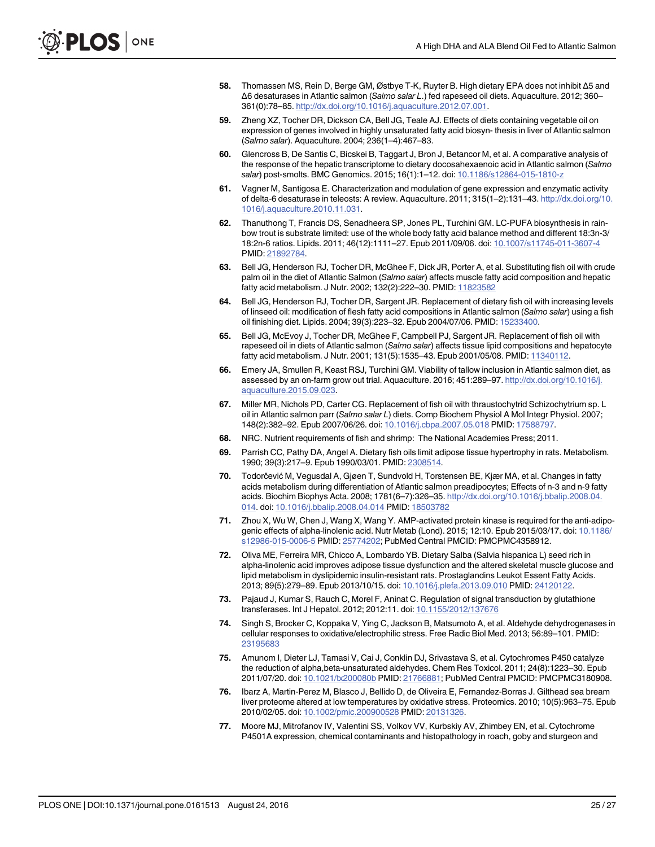- <span id="page-24-0"></span>[58.](#page-17-0) Thomassen MS, Rein D, Berge GM, Østbye T-K, Ruyter B. High dietary EPA does not inhibit Δ5 and Δ6 desaturases in Atlantic salmon (Salmo salar L.) fed rapeseed oil diets. Aquaculture. 2012; 360– 361(0):78–85. <http://dx.doi.org/10.1016/j.aquaculture.2012.07.001>.
- 59. Zheng XZ, Tocher DR, Dickson CA, Bell JG, Teale AJ. Effects of diets containing vegetable oil on expression of genes involved in highly unsaturated fatty acid biosyn- thesis in liver of Atlantic salmon (Salmo salar). Aquaculture. 2004; 236(1–4):467–83.
- [60.](#page-17-0) Glencross B, De Santis C, Bicskei B, Taggart J, Bron J, Betancor M, et al. A comparative analysis of the response of the hepatic transcriptome to dietary docosahexaenoic acid in Atlantic salmon (Salmo salar) post-smolts. BMC Genomics. 2015; 16(1):1–12. doi: [10.1186/s12864-015-1810-z](http://dx.doi.org/10.1186/s12864-015-1810-z)
- [61.](#page-17-0) Vagner M, Santigosa E. Characterization and modulation of gene expression and enzymatic activity of delta-6 desaturase in teleosts: A review. Aquaculture. 2011; 315(1–2):131–43. [http://dx.doi.org/10.](http://dx.doi.org/10.1016/j.aquaculture.2010.11.031) [1016/j.aquaculture.2010.11.031](http://dx.doi.org/10.1016/j.aquaculture.2010.11.031).
- [62.](#page-17-0) Thanuthong T, Francis DS, Senadheera SP, Jones PL, Turchini GM. LC-PUFA biosynthesis in rainbow trout is substrate limited: use of the whole body fatty acid balance method and different 18:3n-3/ 18:2n-6 ratios. Lipids. 2011; 46(12):1111–27. Epub 2011/09/06. doi: [10.1007/s11745-011-3607-4](http://dx.doi.org/10.1007/s11745-011-3607-4) PMID: [21892784.](http://www.ncbi.nlm.nih.gov/pubmed/21892784)
- [63.](#page-17-0) Bell JG, Henderson RJ, Tocher DR, McGhee F, Dick JR, Porter A, et al. Substituting fish oil with crude palm oil in the diet of Atlantic Salmon (Salmo salar) affects muscle fatty acid composition and hepatic fatty acid metabolism. J Nutr. 2002; 132(2):222–30. PMID: [11823582](http://www.ncbi.nlm.nih.gov/pubmed/11823582)
- 64. Bell JG, Henderson RJ, Tocher DR, Sargent JR. Replacement of dietary fish oil with increasing levels of linseed oil: modification of flesh fatty acid compositions in Atlantic salmon (Salmo salar) using a fish oil finishing diet. Lipids. 2004; 39(3):223–32. Epub 2004/07/06. PMID: [15233400.](http://www.ncbi.nlm.nih.gov/pubmed/15233400)
- [65.](#page-17-0) Bell JG, McEvoy J, Tocher DR, McGhee F, Campbell PJ, Sargent JR. Replacement of fish oil with rapeseed oil in diets of Atlantic salmon (Salmo salar) affects tissue lipid compositions and hepatocyte fatty acid metabolism. J Nutr. 2001; 131(5):1535-43. Epub 2001/05/08. PMID: [11340112.](http://www.ncbi.nlm.nih.gov/pubmed/11340112)
- [66.](#page-17-0) Emery JA, Smullen R, Keast RSJ, Turchini GM. Viability of tallow inclusion in Atlantic salmon diet, as assessed by an on-farm grow out trial. Aquaculture. 2016; 451:289–97. [http://dx.doi.org/10.1016/j.](http://dx.doi.org/10.1016/j.aquaculture.2015.09.023) [aquaculture.2015.09.023](http://dx.doi.org/10.1016/j.aquaculture.2015.09.023).
- [67.](#page-17-0) Miller MR, Nichols PD, Carter CG. Replacement of fish oil with thraustochytrid Schizochytrium sp. L oil in Atlantic salmon parr (Salmo salar L) diets. Comp Biochem Physiol A Mol Integr Physiol. 2007; 148(2):382–92. Epub 2007/06/26. doi: [10.1016/j.cbpa.2007.05.018](http://dx.doi.org/10.1016/j.cbpa.2007.05.018) PMID: [17588797](http://www.ncbi.nlm.nih.gov/pubmed/17588797).
- [68.](#page-17-0) NRC. Nutrient requirements of fish and shrimp: The National Academies Press; 2011.
- [69.](#page-17-0) Parrish CC, Pathy DA, Angel A. Dietary fish oils limit adipose tissue hypertrophy in rats. Metabolism. 1990; 39(3):217–9. Epub 1990/03/01. PMID: [2308514](http://www.ncbi.nlm.nih.gov/pubmed/2308514).
- [70.](#page-17-0) Todorčević M, Vegusdal A, Gjøen T, Sundvold H, Torstensen BE, Kjær MA, et al. Changes in fatty acids metabolism during differentiation of Atlantic salmon preadipocytes; Effects of n-3 and n-9 fatty acids. Biochim Biophys Acta. 2008; 1781(6–7):326–35. [http://dx.doi.org/10.1016/j.bbalip.2008.04.](http://dx.doi.org/10.1016/j.bbalip.2008.04.014) [014](http://dx.doi.org/10.1016/j.bbalip.2008.04.014). doi: [10.1016/j.bbalip.2008.04.014](http://dx.doi.org/10.1016/j.bbalip.2008.04.014) PMID: [18503782](http://www.ncbi.nlm.nih.gov/pubmed/18503782)
- [71.](#page-17-0) Zhou X, Wu W, Chen J, Wang X, Wang Y. AMP-activated protein kinase is required for the anti-adipogenic effects of alpha-linolenic acid. Nutr Metab (Lond). 2015; 12:10. Epub 2015/03/17. doi: [10.1186/](http://dx.doi.org/10.1186/s12986-015-0006-5) [s12986-015-0006-5](http://dx.doi.org/10.1186/s12986-015-0006-5) PMID: [25774202;](http://www.ncbi.nlm.nih.gov/pubmed/25774202) PubMed Central PMCID: PMCPMC4358912.
- [72.](#page-17-0) Oliva ME, Ferreira MR, Chicco A, Lombardo YB. Dietary Salba (Salvia hispanica L) seed rich in alpha-linolenic acid improves adipose tissue dysfunction and the altered skeletal muscle glucose and lipid metabolism in dyslipidemic insulin-resistant rats. Prostaglandins Leukot Essent Fatty Acids. 2013; 89(5):279–89. Epub 2013/10/15. doi: [10.1016/j.plefa.2013.09.010](http://dx.doi.org/10.1016/j.plefa.2013.09.010) PMID: [24120122](http://www.ncbi.nlm.nih.gov/pubmed/24120122).
- [73.](#page-18-0) Pajaud J, Kumar S, Rauch C, Morel F, Aninat C. Regulation of signal transduction by glutathione transferases. Int J Hepatol. 2012; 2012:11. doi: [10.1155/2012/137676](http://dx.doi.org/10.1155/2012/137676)
- [74.](#page-18-0) Singh S, Brocker C, Koppaka V, Ying C, Jackson B, Matsumoto A, et al. Aldehyde dehydrogenases in cellular responses to oxidative/electrophilic stress. Free Radic Biol Med. 2013; 56:89–101. PMID: [23195683](http://www.ncbi.nlm.nih.gov/pubmed/23195683)
- [75.](#page-18-0) Amunom I, Dieter LJ, Tamasi V, Cai J, Conklin DJ, Srivastava S, et al. Cytochromes P450 catalyze the reduction of alpha,beta-unsaturated aldehydes. Chem Res Toxicol. 2011; 24(8):1223–30. Epub 2011/07/20. doi: [10.1021/tx200080b](http://dx.doi.org/10.1021/tx200080b) PMID: [21766881](http://www.ncbi.nlm.nih.gov/pubmed/21766881); PubMed Central PMCID: PMCPMC3180908.
- [76.](#page-18-0) Ibarz A, Martin-Perez M, Blasco J, Bellido D, de Oliveira E, Fernandez-Borras J. Gilthead sea bream liver proteome altered at low temperatures by oxidative stress. Proteomics. 2010; 10(5):963–75. Epub 2010/02/05. doi: [10.1002/pmic.200900528](http://dx.doi.org/10.1002/pmic.200900528) PMID: [20131326.](http://www.ncbi.nlm.nih.gov/pubmed/20131326)
- [77.](#page-18-0) Moore MJ, Mitrofanov IV, Valentini SS, Volkov VV, Kurbskiy AV, Zhimbey EN, et al. Cytochrome P4501A expression, chemical contaminants and histopathology in roach, goby and sturgeon and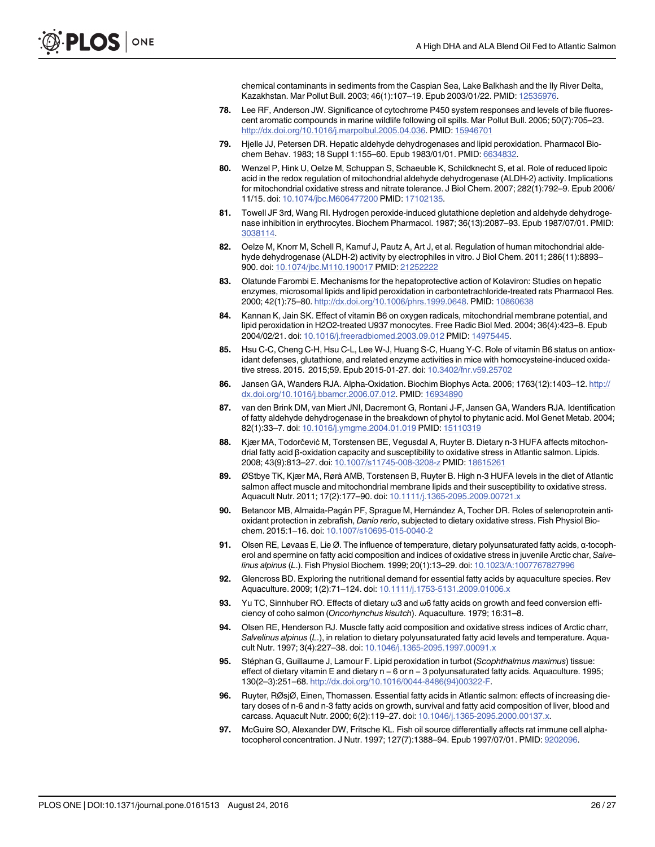chemical contaminants in sediments from the Caspian Sea, Lake Balkhash and the Ily River Delta, Kazakhstan. Mar Pollut Bull. 2003; 46(1):107–19. Epub 2003/01/22. PMID: [12535976](http://www.ncbi.nlm.nih.gov/pubmed/12535976).

- <span id="page-25-0"></span>[78.](#page-18-0) Lee RF, Anderson JW. Significance of cytochrome P450 system responses and levels of bile fluorescent aromatic compounds in marine wildlife following oil spills. Mar Pollut Bull. 2005; 50(7):705–23. [http://dx.doi.org/10.1016/j.marpolbul.2005.04.036.](http://dx.doi.org/10.1016/j.marpolbul.2005.04.036) PMID: [15946701](http://www.ncbi.nlm.nih.gov/pubmed/15946701)
- [79.](#page-18-0) Hjelle JJ, Petersen DR. Hepatic aldehyde dehydrogenases and lipid peroxidation. Pharmacol Biochem Behav. 1983; 18 Suppl 1:155–60. Epub 1983/01/01. PMID: [6634832.](http://www.ncbi.nlm.nih.gov/pubmed/6634832)
- [80.](#page-18-0) Wenzel P, Hink U, Oelze M, Schuppan S, Schaeuble K, Schildknecht S, et al. Role of reduced lipoic acid in the redox regulation of mitochondrial aldehyde dehydrogenase (ALDH-2) activity. Implications for mitochondrial oxidative stress and nitrate tolerance. J Biol Chem. 2007; 282(1):792–9. Epub 2006/ 11/15. doi: [10.1074/jbc.M606477200](http://dx.doi.org/10.1074/jbc.M606477200) PMID: [17102135](http://www.ncbi.nlm.nih.gov/pubmed/17102135).
- [81.](#page-18-0) Towell JF 3rd, Wang RI. Hydrogen peroxide-induced glutathione depletion and aldehyde dehydrogenase inhibition in erythrocytes. Biochem Pharmacol. 1987; 36(13):2087–93. Epub 1987/07/01. PMID: [3038114.](http://www.ncbi.nlm.nih.gov/pubmed/3038114)
- [82.](#page-18-0) Oelze M, Knorr M, Schell R, Kamuf J, Pautz A, Art J, et al. Regulation of human mitochondrial aldehyde dehydrogenase (ALDH-2) activity by electrophiles in vitro. J Biol Chem. 2011; 286(11):8893– 900. doi: [10.1074/jbc.M110.190017](http://dx.doi.org/10.1074/jbc.M110.190017) PMID: [21252222](http://www.ncbi.nlm.nih.gov/pubmed/21252222)
- [83.](#page-18-0) Olatunde Farombi E. Mechanisms for the hepatoprotective action of Kolaviron: Studies on hepatic enzymes, microsomal lipids and lipid peroxidation in carbontetrachloride-treated rats Pharmacol Res. 2000; 42(1):75–80. <http://dx.doi.org/10.1006/phrs.1999.0648>. PMID: [10860638](http://www.ncbi.nlm.nih.gov/pubmed/10860638)
- [84.](#page-18-0) Kannan K, Jain SK. Effect of vitamin B6 on oxygen radicals, mitochondrial membrane potential, and lipid peroxidation in H2O2-treated U937 monocytes. Free Radic Biol Med. 2004; 36(4):423–8. Epub 2004/02/21. doi: [10.1016/j.freeradbiomed.2003.09.012](http://dx.doi.org/10.1016/j.freeradbiomed.2003.09.012) PMID: [14975445](http://www.ncbi.nlm.nih.gov/pubmed/14975445).
- [85.](#page-18-0) Hsu C-C, Cheng C-H, Hsu C-L, Lee W-J, Huang S-C, Huang Y-C. Role of vitamin B6 status on antioxidant defenses, glutathione, and related enzyme activities in mice with homocysteine-induced oxidative stress. 2015. 2015;59. Epub 2015-01-27. doi: [10.3402/fnr.v59.25702](http://dx.doi.org/10.3402/fnr.v59.25702)
- [86.](#page-18-0) Jansen GA, Wanders RJA. Alpha-Oxidation. Biochim Biophys Acta. 2006; 1763(12):1403–12. [http://](http://dx.doi.org/10.1016/j.bbamcr.2006.07.012) [dx.doi.org/10.1016/j.bbamcr.2006.07.012.](http://dx.doi.org/10.1016/j.bbamcr.2006.07.012) PMID: [16934890](http://www.ncbi.nlm.nih.gov/pubmed/16934890)
- [87.](#page-18-0) van den Brink DM, van Miert JNI, Dacremont G, Rontani J-F, Jansen GA, Wanders RJA. Identification of fatty aldehyde dehydrogenase in the breakdown of phytol to phytanic acid. Mol Genet Metab. 2004; 82(1):33–7. doi: [10.1016/j.ymgme.2004.01.019](http://dx.doi.org/10.1016/j.ymgme.2004.01.019) PMID: [15110319](http://www.ncbi.nlm.nih.gov/pubmed/15110319)
- [88.](#page-19-0) Kjær MA, Todorčević M, Torstensen BE, Vegusdal A, Ruyter B. Dietary n-3 HUFA affects mitochondrial fatty acid β-oxidation capacity and susceptibility to oxidative stress in Atlantic salmon. Lipids. 2008; 43(9):813–27. doi: [10.1007/s11745-008-3208-z](http://dx.doi.org/10.1007/s11745-008-3208-z) PMID: [18615261](http://www.ncbi.nlm.nih.gov/pubmed/18615261)
- 89. ØStbye TK, Kjær MA, Rørå AMB, Torstensen B, Ruyter B. High n-3 HUFA levels in the diet of Atlantic salmon affect muscle and mitochondrial membrane lipids and their susceptibility to oxidative stress. Aquacult Nutr. 2011; 17(2):177–90. doi: [10.1111/j.1365-2095.2009.00721.x](http://dx.doi.org/10.1111/j.1365-2095.2009.00721.x)
- [90.](#page-19-0) Betancor MB, Almaida-Pagán PF, Sprague M, Hernández A, Tocher DR. Roles of selenoprotein antioxidant protection in zebrafish, Danio rerio, subjected to dietary oxidative stress. Fish Physiol Biochem. 2015:1–16. doi: [10.1007/s10695-015-0040-2](http://dx.doi.org/10.1007/s10695-015-0040-2)
- [91.](#page-19-0) Olsen RE, Løvaas E, Lie Ø. The influence of temperature, dietary polyunsaturated fatty acids, α-tocopherol and spermine on fatty acid composition and indices of oxidative stress in juvenile Arctic char, Salvelinus alpinus (L.). Fish Physiol Biochem. 1999; 20(1):13–29. doi: [10.1023/A:1007767827996](http://dx.doi.org/10.1023/A:1007767827996)
- [92.](#page-19-0) Glencross BD. Exploring the nutritional demand for essential fatty acids by aquaculture species. Rev Aquaculture. 2009; 1(2):71–124. doi: [10.1111/j.1753-5131.2009.01006.x](http://dx.doi.org/10.1111/j.1753-5131.2009.01006.x)
- [93.](#page-19-0) Yu TC, Sinnhuber RO. Effects of dietary ω3 and ω6 fatty acids on growth and feed conversion efficiency of coho salmon (Oncorhynchus kisutch). Aquaculture. 1979; 16:31–8.
- [94.](#page-19-0) Olsen RE, Henderson RJ. Muscle fatty acid composition and oxidative stress indices of Arctic charr, Salvelinus alpinus (L.), in relation to dietary polyunsaturated fatty acid levels and temperature. Aquacult Nutr. 1997; 3(4):227–38. doi: [10.1046/j.1365-2095.1997.00091.x](http://dx.doi.org/10.1046/j.1365-2095.1997.00091.x)
- [95.](#page-19-0) Stéphan G, Guillaume J, Lamour F. Lipid peroxidation in turbot (Scophthalmus maximus) tissue: effect of dietary vitamin E and dietary n <sup>−</sup> 6 or n <sup>−</sup> 3 polyunsaturated fatty acids. Aquaculture. 1995; 130(2–3):251–68. [http://dx.doi.org/10.1016/0044-8486\(94\)00322-F](http://dx.doi.org/10.1016/0044-8486(94)00322-F).
- [96.](#page-19-0) Ruyter, RØsjØ, Einen, Thomassen. Essential fatty acids in Atlantic salmon: effects of increasing dietary doses of n-6 and n-3 fatty acids on growth, survival and fatty acid composition of liver, blood and carcass. Aquacult Nutr. 2000; 6(2):119–27. doi: [10.1046/j.1365-2095.2000.00137.x.](http://dx.doi.org/10.1046/j.1365-2095.2000.00137.x)
- [97.](#page-19-0) McGuire SO, Alexander DW, Fritsche KL. Fish oil source differentially affects rat immune cell alphatocopherol concentration. J Nutr. 1997; 127(7):1388–94. Epub 1997/07/01. PMID: [9202096.](http://www.ncbi.nlm.nih.gov/pubmed/9202096)